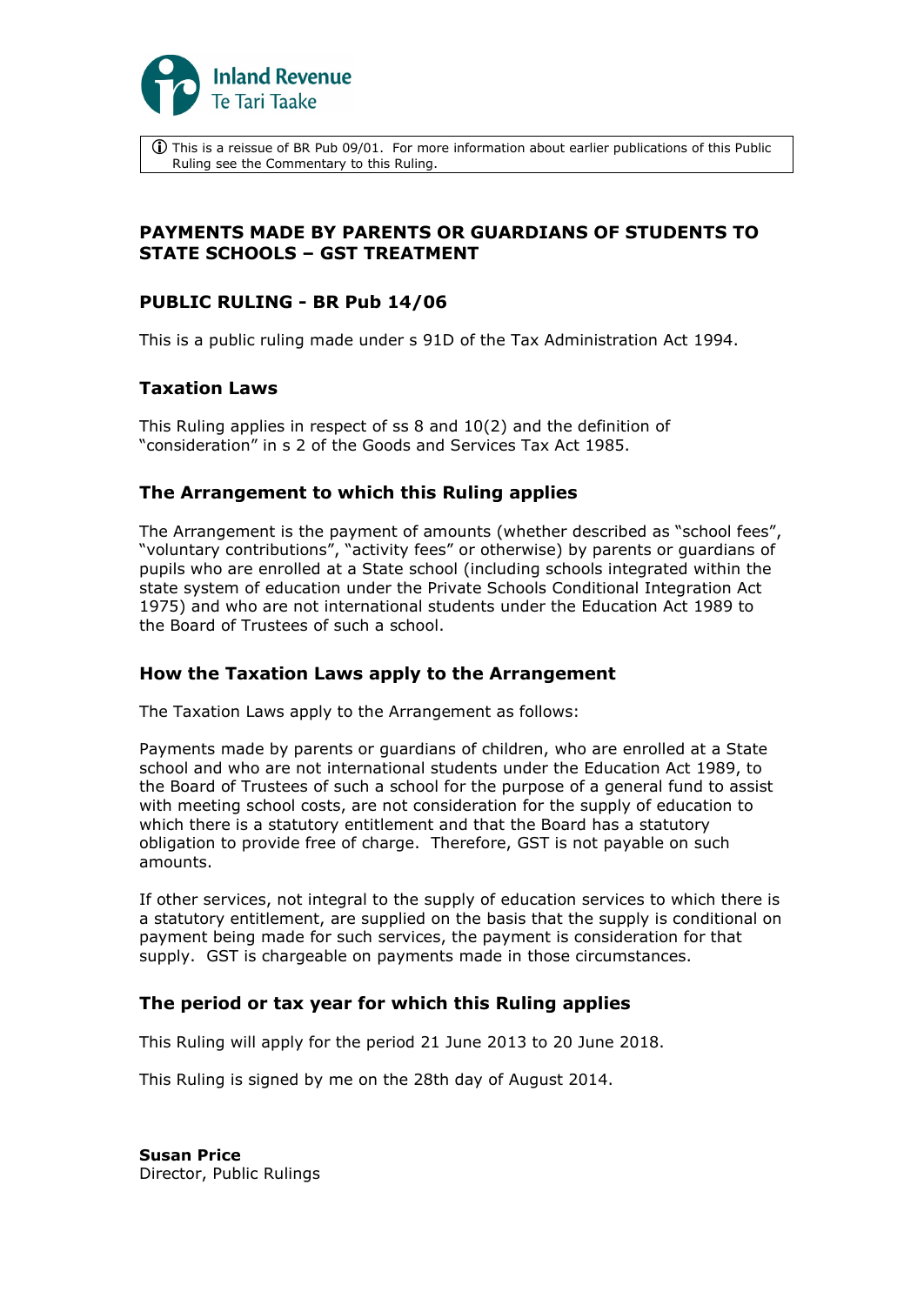

 This is a reissue of BR Pub 09/01. For more information about earlier publications of this Public Ruling see the Commentary to this Ruling.

# **PAYMENTS MADE BY PARENTS OR GUARDIANS OF STUDENTS TO STATE SCHOOLS – GST TREATMENT**

## **PUBLIC RULING - BR Pub 14/06**

This is a public ruling made under s 91D of the Tax Administration Act 1994.

# **Taxation Laws**

This Ruling applies in respect of ss 8 and 10(2) and the definition of "consideration" in s 2 of the Goods and Services Tax Act 1985.

## **The Arrangement to which this Ruling applies**

The Arrangement is the payment of amounts (whether described as "school fees", "voluntary contributions", "activity fees" or otherwise) by parents or guardians of pupils who are enrolled at a State school (including schools integrated within the state system of education under the Private Schools Conditional Integration Act 1975) and who are not international students under the Education Act 1989 to the Board of Trustees of such a school.

## **How the Taxation Laws apply to the Arrangement**

The Taxation Laws apply to the Arrangement as follows:

Payments made by parents or guardians of children, who are enrolled at a State school and who are not international students under the Education Act 1989, to the Board of Trustees of such a school for the purpose of a general fund to assist with meeting school costs, are not consideration for the supply of education to which there is a statutory entitlement and that the Board has a statutory obligation to provide free of charge. Therefore, GST is not payable on such amounts.

If other services, not integral to the supply of education services to which there is a statutory entitlement, are supplied on the basis that the supply is conditional on payment being made for such services, the payment is consideration for that supply. GST is chargeable on payments made in those circumstances.

## **The period or tax year for which this Ruling applies**

This Ruling will apply for the period 21 June 2013 to 20 June 2018.

This Ruling is signed by me on the 28th day of August 2014.

**Susan Price** Director, Public Rulings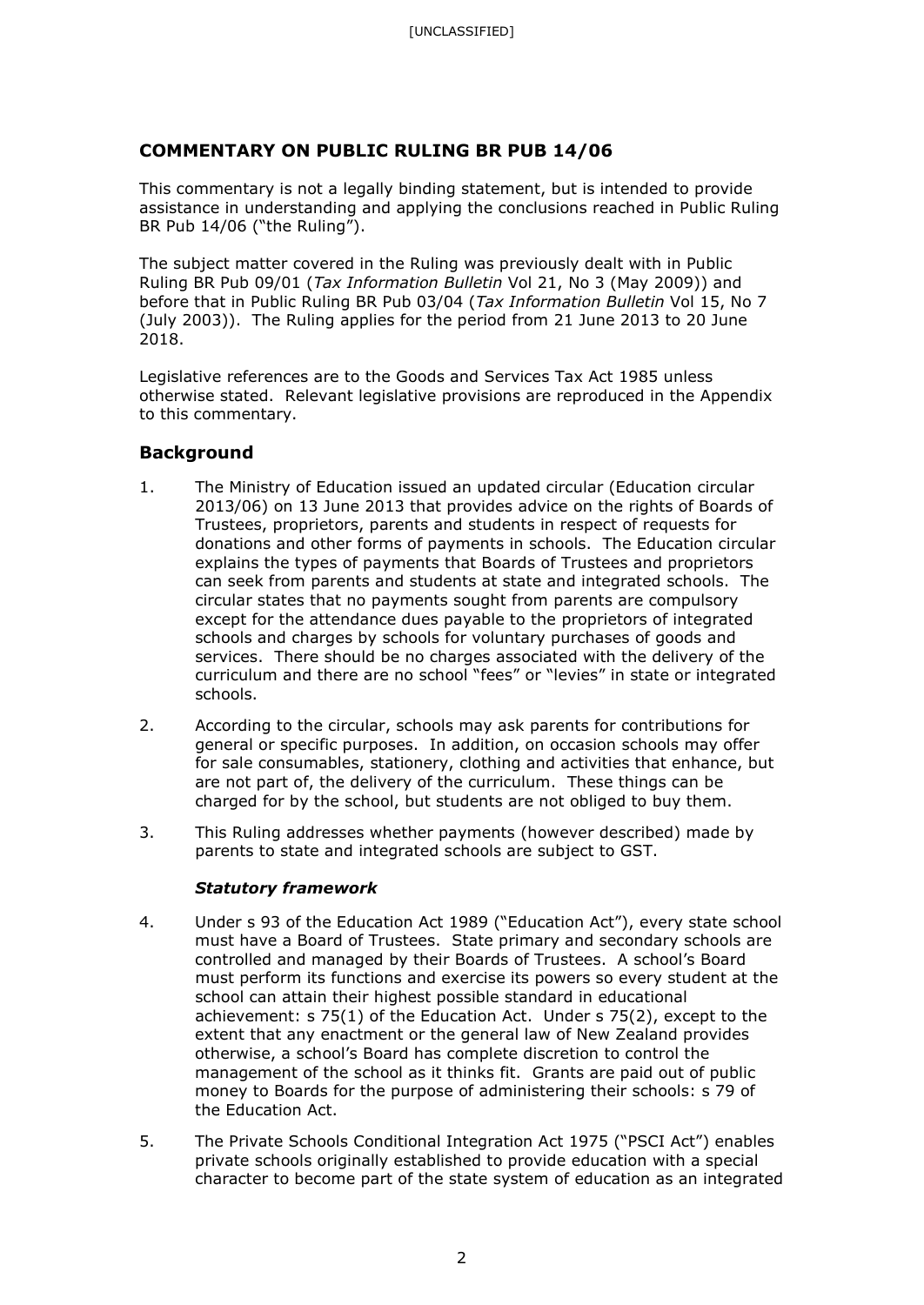# **COMMENTARY ON PUBLIC RULING BR PUB 14/06**

This commentary is not a legally binding statement, but is intended to provide assistance in understanding and applying the conclusions reached in Public Ruling BR Pub 14/06 ("the Ruling").

The subject matter covered in the Ruling was previously dealt with in Public Ruling BR Pub 09/01 (*Tax Information Bulletin* Vol 21, No 3 (May 2009)) and before that in Public Ruling BR Pub 03/04 (*Tax Information Bulletin* Vol 15, No 7 (July 2003)). The Ruling applies for the period from 21 June 2013 to 20 June 2018.

Legislative references are to the Goods and Services Tax Act 1985 unless otherwise stated. Relevant legislative provisions are reproduced in the Appendix to this commentary.

# **Background**

- 1. The Ministry of Education issued an updated circular (Education circular 2013/06) on 13 June 2013 that provides advice on the rights of Boards of Trustees, proprietors, parents and students in respect of requests for donations and other forms of payments in schools. The Education circular explains the types of payments that Boards of Trustees and proprietors can seek from parents and students at state and integrated schools. The circular states that no payments sought from parents are compulsory except for the attendance dues payable to the proprietors of integrated schools and charges by schools for voluntary purchases of goods and services. There should be no charges associated with the delivery of the curriculum and there are no school "fees" or "levies" in state or integrated schools.
- 2. According to the circular, schools may ask parents for contributions for general or specific purposes. In addition, on occasion schools may offer for sale consumables, stationery, clothing and activities that enhance, but are not part of, the delivery of the curriculum. These things can be charged for by the school, but students are not obliged to buy them.
- 3. This Ruling addresses whether payments (however described) made by parents to state and integrated schools are subject to GST.

## *Statutory framework*

- 4. Under s 93 of the Education Act 1989 ("Education Act"), every state school must have a Board of Trustees. State primary and secondary schools are controlled and managed by their Boards of Trustees. A school's Board must perform its functions and exercise its powers so every student at the school can attain their highest possible standard in educational achievement: s 75(1) of the Education Act. Under s 75(2), except to the extent that any enactment or the general law of New Zealand provides otherwise, a school's Board has complete discretion to control the management of the school as it thinks fit. Grants are paid out of public money to Boards for the purpose of administering their schools: s 79 of the Education Act.
- 5. The Private Schools Conditional Integration Act 1975 ("PSCI Act") enables private schools originally established to provide education with a special character to become part of the state system of education as an integrated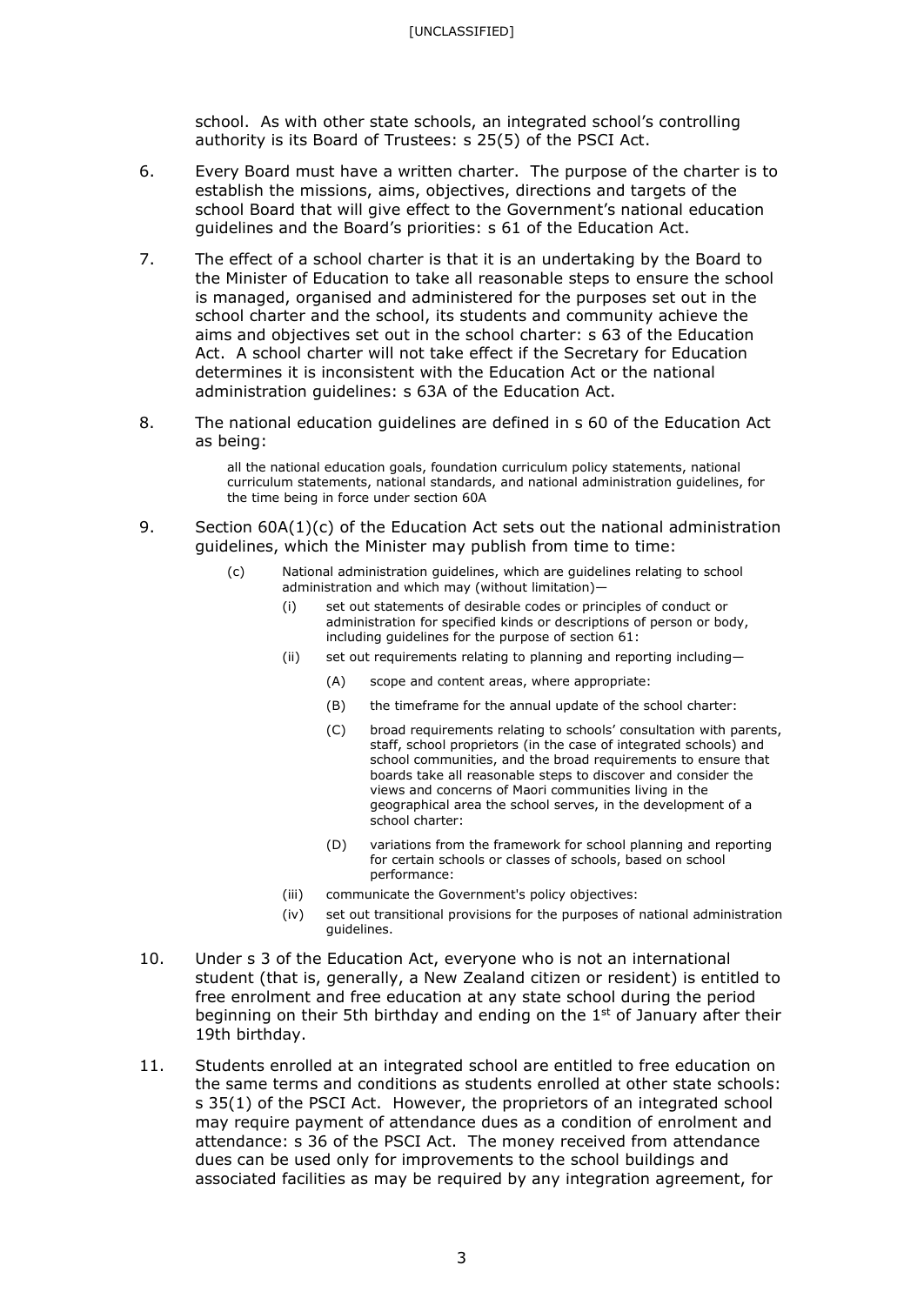school. As with other state schools, an integrated school's controlling authority is its Board of Trustees: s 25(5) of the PSCI Act.

- 6. Every Board must have a written charter. The purpose of the charter is to establish the missions, aims, objectives, directions and targets of the school Board that will give effect to the Government's national education guidelines and the Board's priorities: s 61 of the Education Act.
- 7. The effect of a school charter is that it is an undertaking by the Board to the Minister of Education to take all reasonable steps to ensure the school is managed, organised and administered for the purposes set out in the school charter and the school, its students and community achieve the aims and objectives set out in the school charter: s 63 of the Education Act. A school charter will not take effect if the Secretary for Education determines it is inconsistent with the Education Act or the national administration guidelines: s 63A of the Education Act.
- 8. The national education guidelines are defined in s 60 of the Education Act as being:

all the national education goals, foundation curriculum policy statements, national curriculum statements, national standards, and national administration guidelines, for the time being in force under section 60A

- 9. Section 60A(1)(c) of the Education Act sets out the national administration guidelines, which the Minister may publish from time to time:
	- (c) National administration guidelines, which are guidelines relating to school administration and which may (without limitation)—
		- (i) set out statements of desirable codes or principles of conduct or administration for specified kinds or descriptions of person or body, including guidelines for the purpose of section 61:
		- (ii) set out requirements relating to planning and reporting including—
			- (A) scope and content areas, where appropriate:
			- (B) the timeframe for the annual update of the school charter:
			- (C) broad requirements relating to schools' consultation with parents, staff, school proprietors (in the case of integrated schools) and school communities, and the broad requirements to ensure that boards take all reasonable steps to discover and consider the views and concerns of Maori communities living in the geographical area the school serves, in the development of a school charter:
			- (D) variations from the framework for school planning and reporting for certain schools or classes of schools, based on school performance:
		- (iii) communicate the Government's policy objectives:
		- (iv) set out transitional provisions for the purposes of national administration guidelines.
- 10. Under s 3 of the Education Act, everyone who is not an international student (that is, generally, a New Zealand citizen or resident) is entitled to free enrolment and free education at any state school during the period beginning on their 5th birthday and ending on the 1<sup>st</sup> of January after their 19th birthday.
- 11. Students enrolled at an integrated school are entitled to free education on the same terms and conditions as students enrolled at other state schools: s 35(1) of the PSCI Act. However, the proprietors of an integrated school may require payment of attendance dues as a condition of enrolment and attendance: s 36 of the PSCI Act. The money received from attendance dues can be used only for improvements to the school buildings and associated facilities as may be required by any integration agreement, for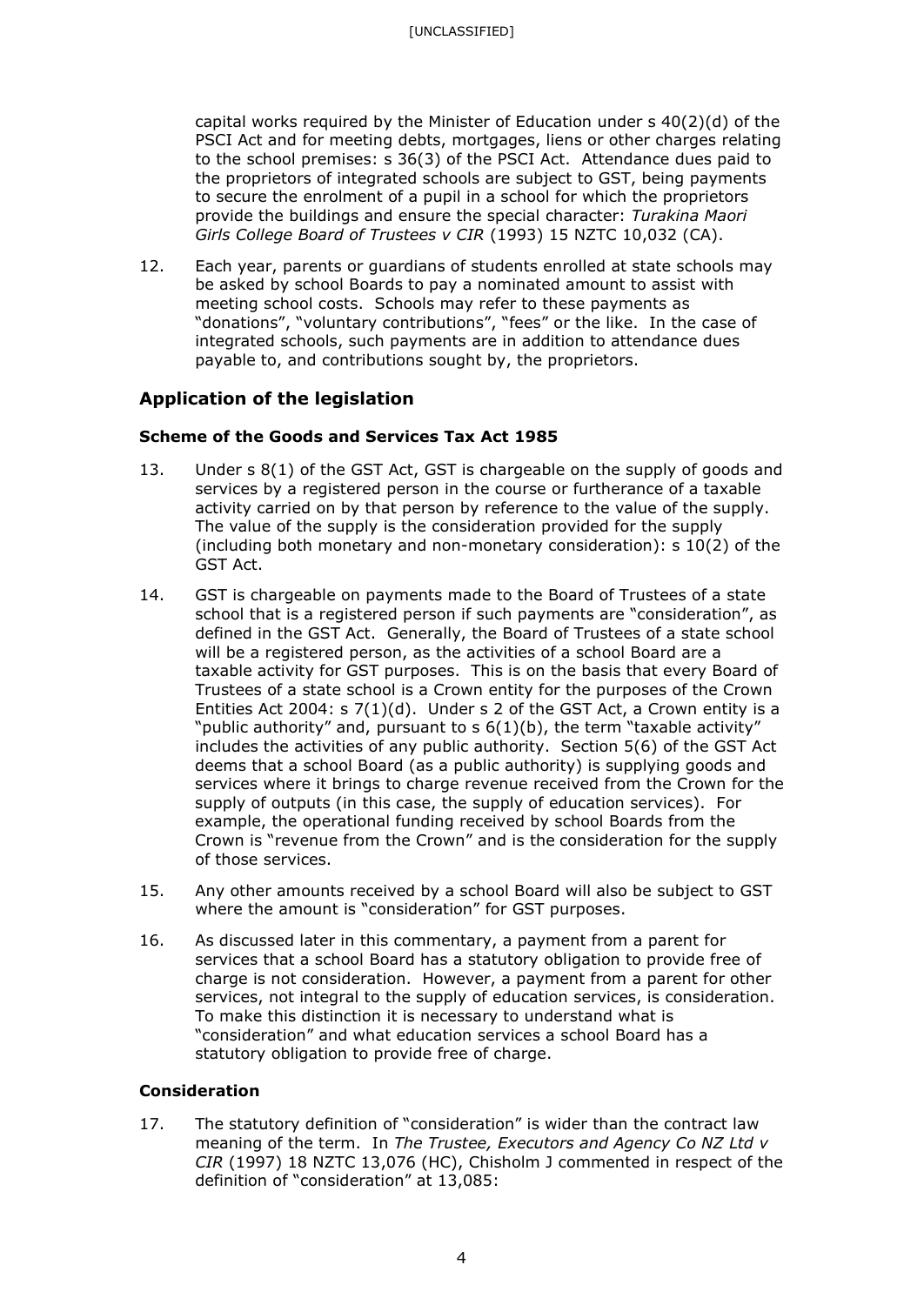capital works required by the Minister of Education under  $s$  40(2)(d) of the PSCI Act and for meeting debts, mortgages, liens or other charges relating to the school premises: s 36(3) of the PSCI Act. Attendance dues paid to the proprietors of integrated schools are subject to GST, being payments to secure the enrolment of a pupil in a school for which the proprietors provide the buildings and ensure the special character: *Turakina Maori Girls College Board of Trustees v CIR* (1993) 15 NZTC 10,032 (CA).

12. Each year, parents or guardians of students enrolled at state schools may be asked by school Boards to pay a nominated amount to assist with meeting school costs. Schools may refer to these payments as "donations", "voluntary contributions", "fees" or the like. In the case of integrated schools, such payments are in addition to attendance dues payable to, and contributions sought by, the proprietors.

# **Application of the legislation**

## **Scheme of the Goods and Services Tax Act 1985**

- 13. Under s 8(1) of the GST Act, GST is chargeable on the supply of goods and services by a registered person in the course or furtherance of a taxable activity carried on by that person by reference to the value of the supply. The value of the supply is the consideration provided for the supply (including both monetary and non-monetary consideration): s 10(2) of the GST Act.
- 14. GST is chargeable on payments made to the Board of Trustees of a state school that is a registered person if such payments are "consideration", as defined in the GST Act. Generally, the Board of Trustees of a state school will be a registered person, as the activities of a school Board are a taxable activity for GST purposes. This is on the basis that every Board of Trustees of a state school is a Crown entity for the purposes of the Crown Entities Act 2004: s 7(1)(d). Under s 2 of the GST Act, a Crown entity is a "public authority" and, pursuant to s 6(1)(b), the term "taxable activity" includes the activities of any public authority. Section 5(6) of the GST Act deems that a school Board (as a public authority) is supplying goods and services where it brings to charge revenue received from the Crown for the supply of outputs (in this case, the supply of education services). For example, the operational funding received by school Boards from the Crown is "revenue from the Crown" and is the consideration for the supply of those services.
- 15. Any other amounts received by a school Board will also be subject to GST where the amount is "consideration" for GST purposes.
- 16. As discussed later in this commentary, a payment from a parent for services that a school Board has a statutory obligation to provide free of charge is not consideration. However, a payment from a parent for other services, not integral to the supply of education services, is consideration. To make this distinction it is necessary to understand what is "consideration" and what education services a school Board has a statutory obligation to provide free of charge.

### **Consideration**

17. The statutory definition of "consideration" is wider than the contract law meaning of the term. In *The Trustee, Executors and Agency Co NZ Ltd v CIR* (1997) 18 NZTC 13,076 (HC), Chisholm J commented in respect of the definition of "consideration" at 13,085: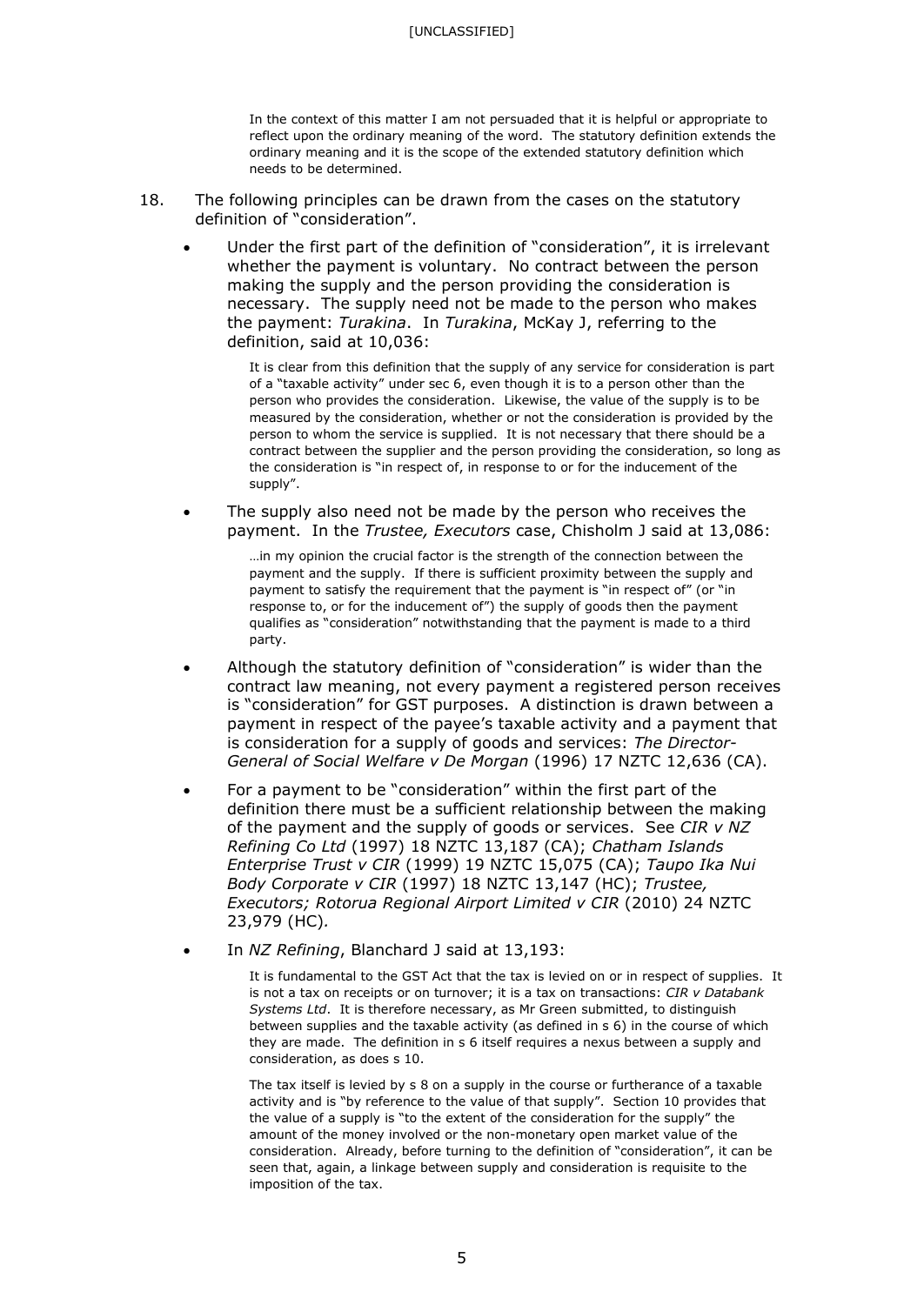#### [UNCLASSIFIED]

In the context of this matter I am not persuaded that it is helpful or appropriate to reflect upon the ordinary meaning of the word. The statutory definition extends the ordinary meaning and it is the scope of the extended statutory definition which needs to be determined.

- 18. The following principles can be drawn from the cases on the statutory definition of "consideration".
	- Under the first part of the definition of "consideration", it is irrelevant whether the payment is voluntary. No contract between the person making the supply and the person providing the consideration is necessary. The supply need not be made to the person who makes the payment: *Turakina*. In *Turakina*, McKay J, referring to the definition, said at 10,036:

It is clear from this definition that the supply of any service for consideration is part of a "taxable activity" under sec 6, even though it is to a person other than the person who provides the consideration. Likewise, the value of the supply is to be measured by the consideration, whether or not the consideration is provided by the person to whom the service is supplied. It is not necessary that there should be a contract between the supplier and the person providing the consideration, so long as the consideration is "in respect of, in response to or for the inducement of the supply".

The supply also need not be made by the person who receives the payment. In the *Trustee, Executors* case, Chisholm J said at 13,086:

> …in my opinion the crucial factor is the strength of the connection between the payment and the supply. If there is sufficient proximity between the supply and payment to satisfy the requirement that the payment is "in respect of" (or "in response to, or for the inducement of") the supply of goods then the payment qualifies as "consideration" notwithstanding that the payment is made to a third party.

- Although the statutory definition of "consideration" is wider than the contract law meaning, not every payment a registered person receives is "consideration" for GST purposes. A distinction is drawn between a payment in respect of the payee's taxable activity and a payment that is consideration for a supply of goods and services: *The Director-General of Social Welfare v De Morgan* (1996) 17 NZTC 12,636 (CA).
- For a payment to be "consideration" within the first part of the definition there must be a sufficient relationship between the making of the payment and the supply of goods or services. See *CIR v NZ Refining Co Ltd* (1997) 18 NZTC 13,187 (CA); *Chatham Islands Enterprise Trust v CIR* (1999) 19 NZTC 15,075 (CA); *Taupo Ika Nui Body Corporate v CIR* (1997) 18 NZTC 13,147 (HC); *Trustee, Executors; Rotorua Regional Airport Limited v CIR* (2010) 24 NZTC 23,979 (HC)*.*
- In *NZ Refining*, Blanchard J said at 13,193:

It is fundamental to the GST Act that the tax is levied on or in respect of supplies. It is not a tax on receipts or on turnover; it is a tax on transactions: *CIR v Databank Systems Ltd*. It is therefore necessary, as Mr Green submitted, to distinguish between supplies and the taxable activity (as defined in s 6) in the course of which they are made. The definition in s 6 itself requires a nexus between a supply and consideration, as does s 10.

The tax itself is levied by s 8 on a supply in the course or furtherance of a taxable activity and is "by reference to the value of that supply". Section 10 provides that the value of a supply is "to the extent of the consideration for the supply" the amount of the money involved or the non-monetary open market value of the consideration. Already, before turning to the definition of "consideration", it can be seen that, again, a linkage between supply and consideration is requisite to the imposition of the tax.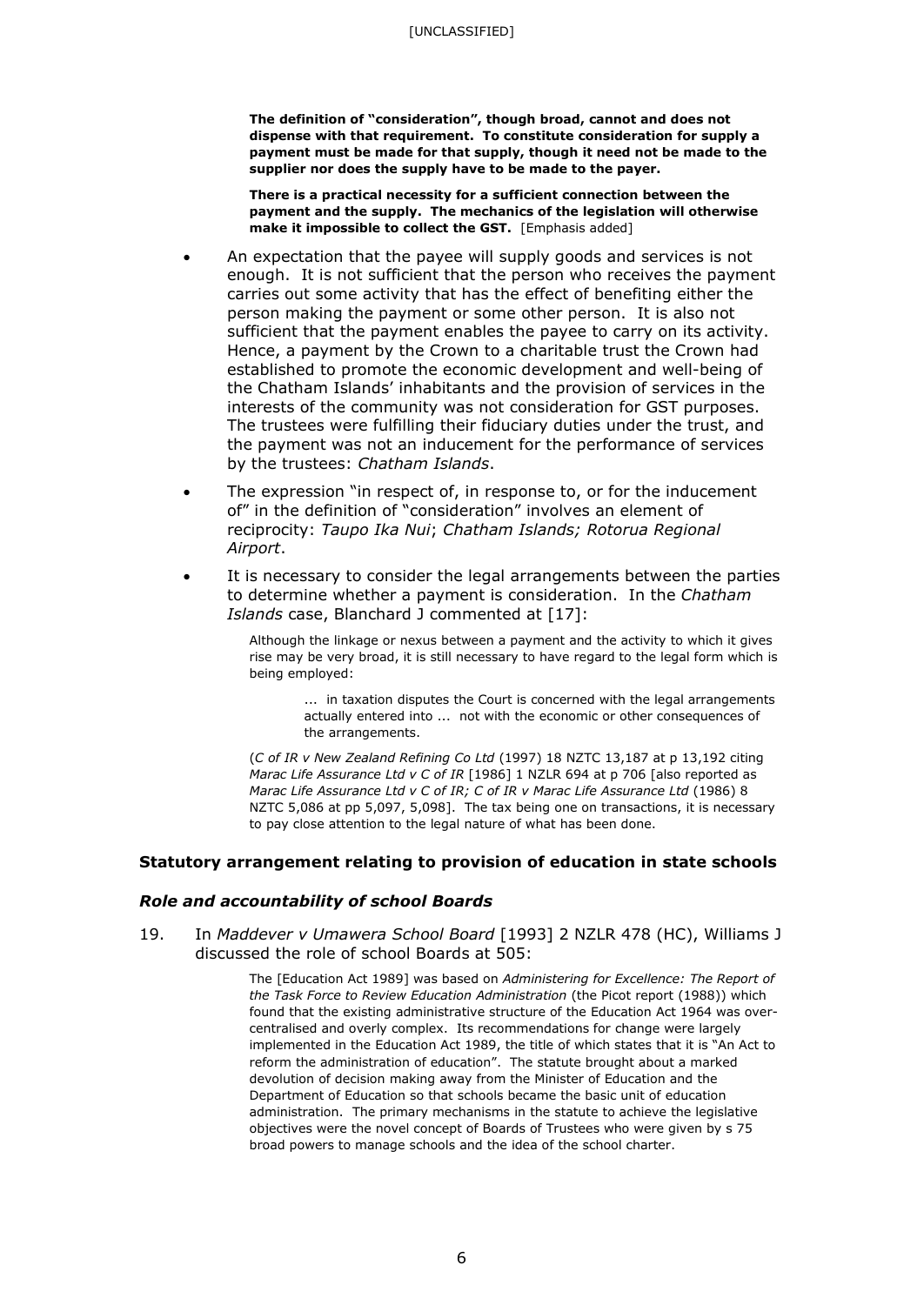**The definition of "consideration", though broad, cannot and does not dispense with that requirement. To constitute consideration for supply a payment must be made for that supply, though it need not be made to the supplier nor does the supply have to be made to the payer.**

**There is a practical necessity for a sufficient connection between the payment and the supply. The mechanics of the legislation will otherwise make it impossible to collect the GST.** [Emphasis added]

- An expectation that the payee will supply goods and services is not enough. It is not sufficient that the person who receives the payment carries out some activity that has the effect of benefiting either the person making the payment or some other person. It is also not sufficient that the payment enables the payee to carry on its activity. Hence, a payment by the Crown to a charitable trust the Crown had established to promote the economic development and well-being of the Chatham Islands' inhabitants and the provision of services in the interests of the community was not consideration for GST purposes. The trustees were fulfilling their fiduciary duties under the trust, and the payment was not an inducement for the performance of services by the trustees: *Chatham Islands*.
- The expression "in respect of, in response to, or for the inducement of" in the definition of "consideration" involves an element of reciprocity: *Taupo Ika Nui*; *Chatham Islands; Rotorua Regional Airport*.
- It is necessary to consider the legal arrangements between the parties to determine whether a payment is consideration. In the *Chatham Islands* case, Blanchard J commented at [17]:

Although the linkage or nexus between a payment and the activity to which it gives rise may be very broad, it is still necessary to have regard to the legal form which is being employed:

... in taxation disputes the Court is concerned with the legal arrangements actually entered into ... not with the economic or other consequences of the arrangements.

(*C of IR v New Zealand Refining Co Ltd* (1997) 18 NZTC 13,187 at p 13,192 citing *Marac Life Assurance Ltd v C of IR* [1986] 1 NZLR 694 at p 706 [also reported as *Marac Life Assurance Ltd v C of IR; C of IR v Marac Life Assurance Ltd* (1986) 8 NZTC 5,086 at pp 5,097, 5,098]. The tax being one on transactions, it is necessary to pay close attention to the legal nature of what has been done.

### **Statutory arrangement relating to provision of education in state schools**

#### *Role and accountability of school Boards*

19. In *Maddever v Umawera School Board* [1993] 2 NZLR 478 (HC), Williams J discussed the role of school Boards at 505:

> The [Education Act 1989] was based on *Administering for Excellence: The Report of the Task Force to Review Education Administration* (the Picot report (1988)) which found that the existing administrative structure of the Education Act 1964 was overcentralised and overly complex. Its recommendations for change were largely implemented in the Education Act 1989, the title of which states that it is "An Act to reform the administration of education". The statute brought about a marked devolution of decision making away from the Minister of Education and the Department of Education so that schools became the basic unit of education administration. The primary mechanisms in the statute to achieve the legislative objectives were the novel concept of Boards of Trustees who were given by s 75 broad powers to manage schools and the idea of the school charter.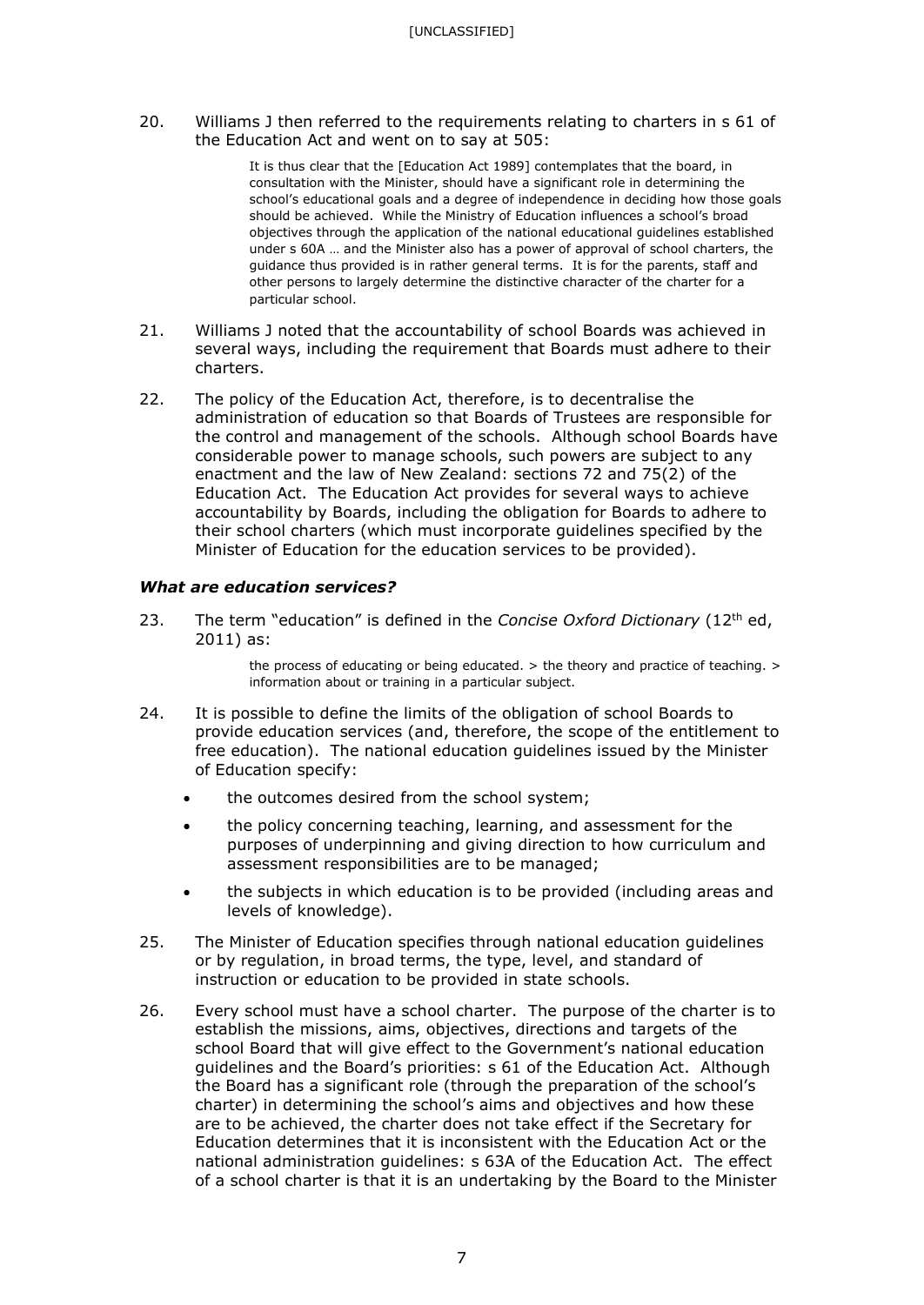20. Williams J then referred to the requirements relating to charters in s 61 of the Education Act and went on to say at 505:

> It is thus clear that the [Education Act 1989] contemplates that the board, in consultation with the Minister, should have a significant role in determining the school's educational goals and a degree of independence in deciding how those goals should be achieved. While the Ministry of Education influences a school's broad objectives through the application of the national educational guidelines established under s 60A … and the Minister also has a power of approval of school charters, the guidance thus provided is in rather general terms. It is for the parents, staff and other persons to largely determine the distinctive character of the charter for a particular school.

- 21. Williams J noted that the accountability of school Boards was achieved in several ways, including the requirement that Boards must adhere to their charters.
- 22. The policy of the Education Act, therefore, is to decentralise the administration of education so that Boards of Trustees are responsible for the control and management of the schools. Although school Boards have considerable power to manage schools, such powers are subject to any enactment and the law of New Zealand: sections 72 and 75(2) of the Education Act. The Education Act provides for several ways to achieve accountability by Boards, including the obligation for Boards to adhere to their school charters (which must incorporate guidelines specified by the Minister of Education for the education services to be provided).

### *What are education services?*

23. The term "education" is defined in the *Concise Oxford Dictionary* (12<sup>th</sup> ed, 2011) as:

> the process of educating or being educated.  $>$  the theory and practice of teaching.  $>$ information about or training in a particular subject.

- 24. It is possible to define the limits of the obligation of school Boards to provide education services (and, therefore, the scope of the entitlement to free education). The national education guidelines issued by the Minister of Education specify:
	- the outcomes desired from the school system;
	- the policy concerning teaching, learning, and assessment for the purposes of underpinning and giving direction to how curriculum and assessment responsibilities are to be managed;
	- the subjects in which education is to be provided (including areas and levels of knowledge).
- 25. The Minister of Education specifies through national education guidelines or by regulation, in broad terms, the type, level, and standard of instruction or education to be provided in state schools.
- 26. Every school must have a school charter. The purpose of the charter is to establish the missions, aims, objectives, directions and targets of the school Board that will give effect to the Government's national education guidelines and the Board's priorities: s 61 of the Education Act. Although the Board has a significant role (through the preparation of the school's charter) in determining the school's aims and objectives and how these are to be achieved, the charter does not take effect if the Secretary for Education determines that it is inconsistent with the Education Act or the national administration guidelines: s 63A of the Education Act. The effect of a school charter is that it is an undertaking by the Board to the Minister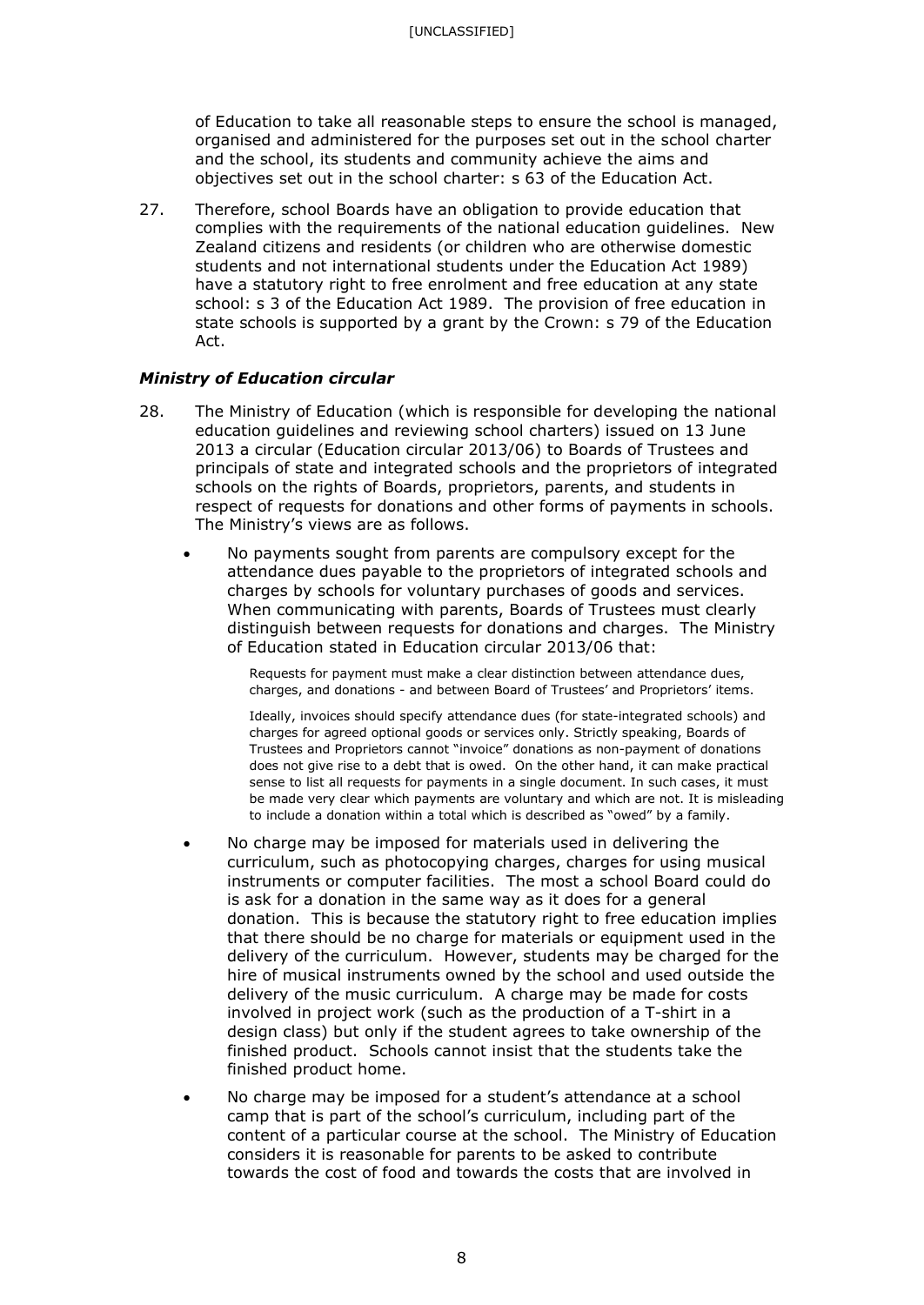of Education to take all reasonable steps to ensure the school is managed, organised and administered for the purposes set out in the school charter and the school, its students and community achieve the aims and objectives set out in the school charter: s 63 of the Education Act.

27. Therefore, school Boards have an obligation to provide education that complies with the requirements of the national education guidelines. New Zealand citizens and residents (or children who are otherwise domestic students and not international students under the Education Act 1989) have a statutory right to free enrolment and free education at any state school: s 3 of the Education Act 1989. The provision of free education in state schools is supported by a grant by the Crown: s 79 of the Education Act.

### *Ministry of Education circular*

- 28. The Ministry of Education (which is responsible for developing the national education guidelines and reviewing school charters) issued on 13 June 2013 a circular (Education circular 2013/06) to Boards of Trustees and principals of state and integrated schools and the proprietors of integrated schools on the rights of Boards, proprietors, parents, and students in respect of requests for donations and other forms of payments in schools. The Ministry's views are as follows.
	- No payments sought from parents are compulsory except for the attendance dues payable to the proprietors of integrated schools and charges by schools for voluntary purchases of goods and services. When communicating with parents, Boards of Trustees must clearly distinguish between requests for donations and charges. The Ministry of Education stated in Education circular 2013/06 that:

Requests for payment must make a clear distinction between attendance dues, charges, and donations - and between Board of Trustees' and Proprietors' items.

Ideally, invoices should specify attendance dues (for state-integrated schools) and charges for agreed optional goods or services only. Strictly speaking, Boards of Trustees and Proprietors cannot "invoice" donations as non-payment of donations does not give rise to a debt that is owed. On the other hand, it can make practical sense to list all requests for payments in a single document. In such cases, it must be made very clear which payments are voluntary and which are not. It is misleading to include a donation within a total which is described as "owed" by a family.

- No charge may be imposed for materials used in delivering the curriculum, such as photocopying charges, charges for using musical instruments or computer facilities. The most a school Board could do is ask for a donation in the same way as it does for a general donation. This is because the statutory right to free education implies that there should be no charge for materials or equipment used in the delivery of the curriculum. However, students may be charged for the hire of musical instruments owned by the school and used outside the delivery of the music curriculum. A charge may be made for costs involved in project work (such as the production of a T-shirt in a design class) but only if the student agrees to take ownership of the finished product. Schools cannot insist that the students take the finished product home.
- No charge may be imposed for a student's attendance at a school camp that is part of the school's curriculum, including part of the content of a particular course at the school. The Ministry of Education considers it is reasonable for parents to be asked to contribute towards the cost of food and towards the costs that are involved in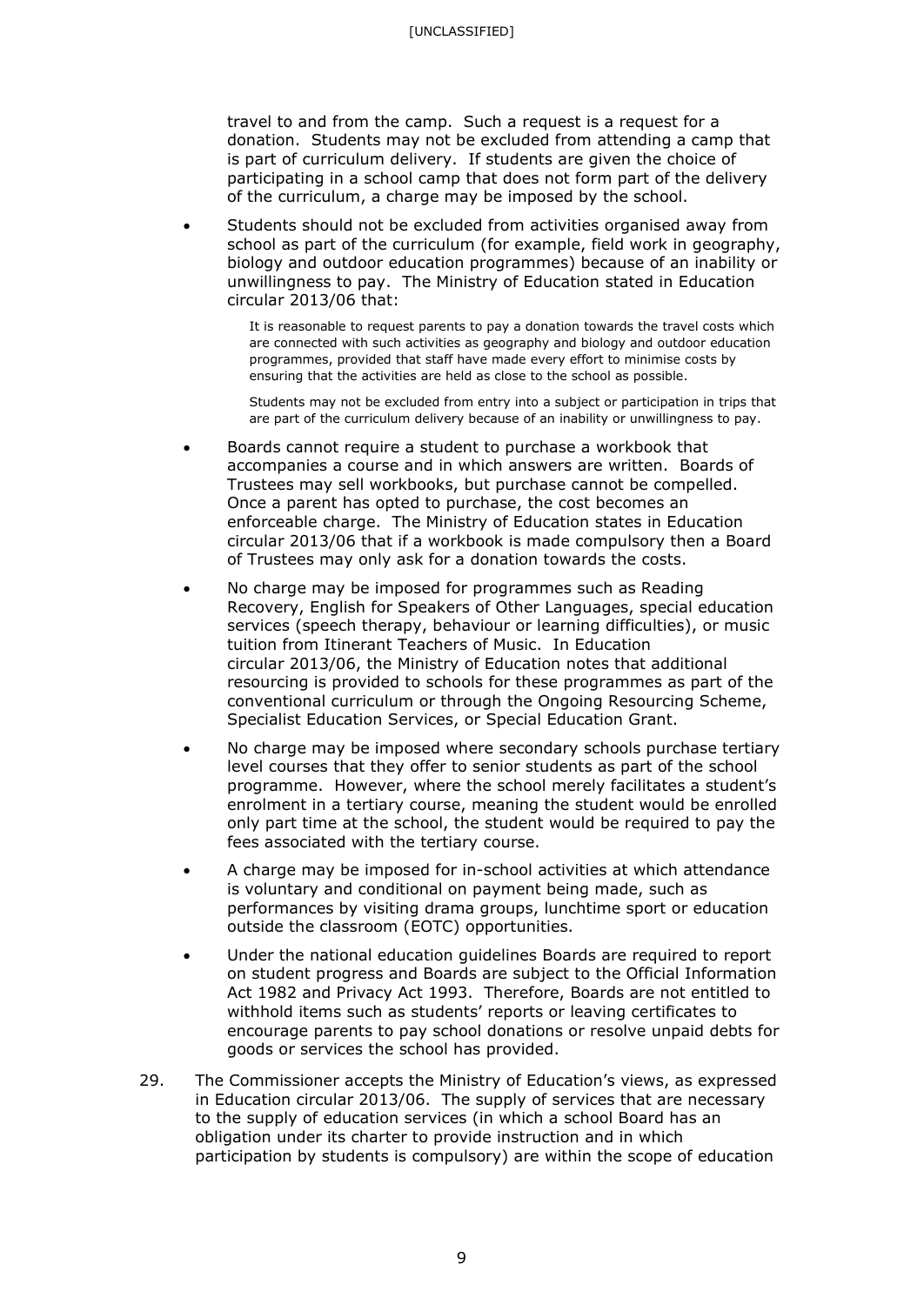travel to and from the camp. Such a request is a request for a donation. Students may not be excluded from attending a camp that is part of curriculum delivery. If students are given the choice of participating in a school camp that does not form part of the delivery of the curriculum, a charge may be imposed by the school.

• Students should not be excluded from activities organised away from school as part of the curriculum (for example, field work in geography, biology and outdoor education programmes) because of an inability or unwillingness to pay. The Ministry of Education stated in Education circular 2013/06 that:

> It is reasonable to request parents to pay a donation towards the travel costs which are connected with such activities as geography and biology and outdoor education programmes, provided that staff have made every effort to minimise costs by ensuring that the activities are held as close to the school as possible.

> Students may not be excluded from entry into a subject or participation in trips that are part of the curriculum delivery because of an inability or unwillingness to pay.

- Boards cannot require a student to purchase a workbook that accompanies a course and in which answers are written. Boards of Trustees may sell workbooks, but purchase cannot be compelled. Once a parent has opted to purchase, the cost becomes an enforceable charge. The Ministry of Education states in Education circular 2013/06 that if a workbook is made compulsory then a Board of Trustees may only ask for a donation towards the costs.
- No charge may be imposed for programmes such as Reading Recovery, English for Speakers of Other Languages, special education services (speech therapy, behaviour or learning difficulties), or music tuition from Itinerant Teachers of Music. In Education circular 2013/06, the Ministry of Education notes that additional resourcing is provided to schools for these programmes as part of the conventional curriculum or through the Ongoing Resourcing Scheme, Specialist Education Services, or Special Education Grant.
- No charge may be imposed where secondary schools purchase tertiary level courses that they offer to senior students as part of the school programme. However, where the school merely facilitates a student's enrolment in a tertiary course, meaning the student would be enrolled only part time at the school, the student would be required to pay the fees associated with the tertiary course.
- A charge may be imposed for in-school activities at which attendance is voluntary and conditional on payment being made, such as performances by visiting drama groups, lunchtime sport or education outside the classroom (EOTC) opportunities.
- Under the national education guidelines Boards are required to report on student progress and Boards are subject to the Official Information Act 1982 and Privacy Act 1993. Therefore, Boards are not entitled to withhold items such as students' reports or leaving certificates to encourage parents to pay school donations or resolve unpaid debts for goods or services the school has provided.
- 29. The Commissioner accepts the Ministry of Education's views, as expressed in Education circular 2013/06. The supply of services that are necessary to the supply of education services (in which a school Board has an obligation under its charter to provide instruction and in which participation by students is compulsory) are within the scope of education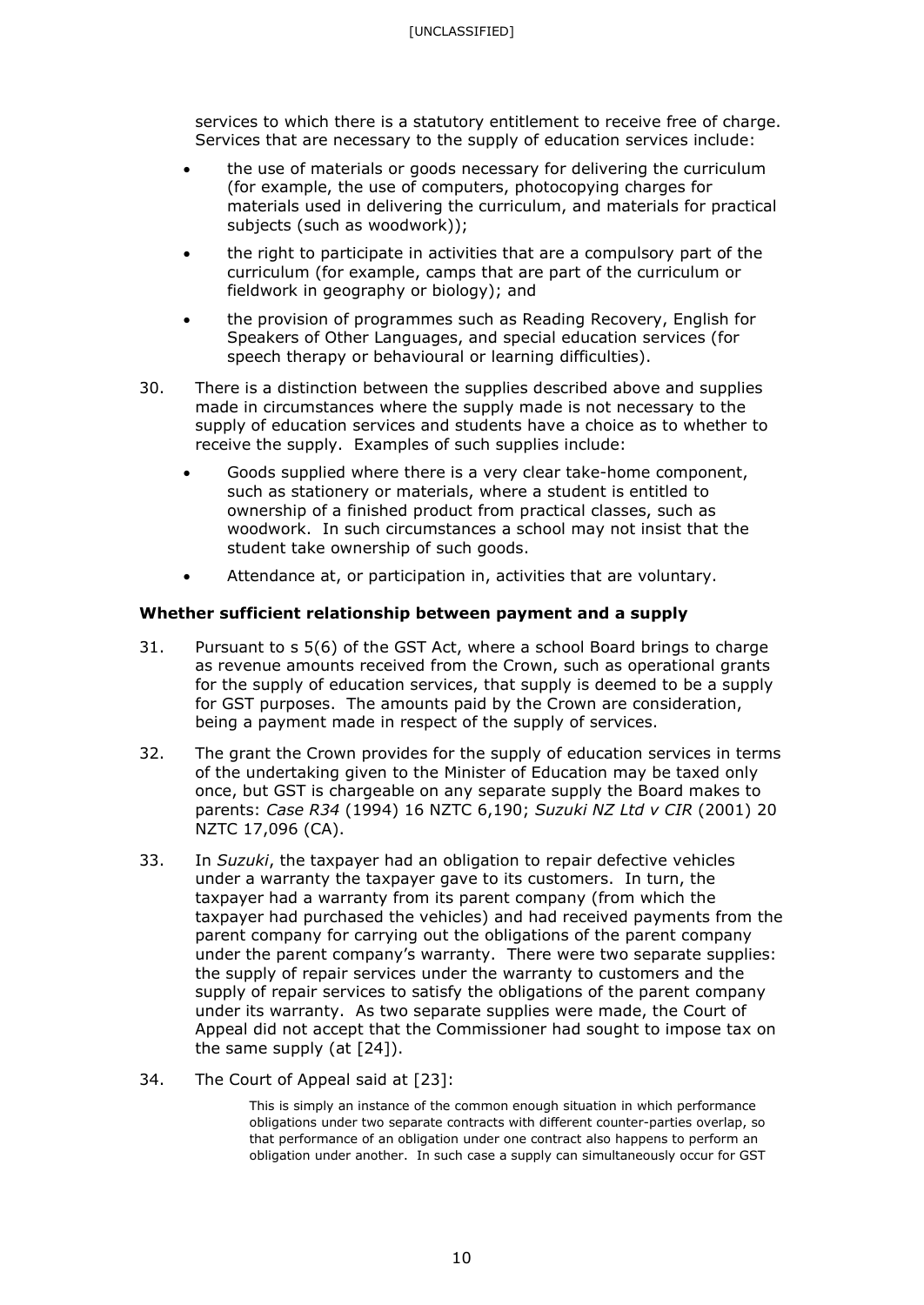services to which there is a statutory entitlement to receive free of charge. Services that are necessary to the supply of education services include:

- the use of materials or goods necessary for delivering the curriculum (for example, the use of computers, photocopying charges for materials used in delivering the curriculum, and materials for practical subjects (such as woodwork));
- the right to participate in activities that are a compulsory part of the curriculum (for example, camps that are part of the curriculum or fieldwork in geography or biology); and
- the provision of programmes such as Reading Recovery, English for Speakers of Other Languages, and special education services (for speech therapy or behavioural or learning difficulties).
- 30. There is a distinction between the supplies described above and supplies made in circumstances where the supply made is not necessary to the supply of education services and students have a choice as to whether to receive the supply. Examples of such supplies include:
	- Goods supplied where there is a very clear take-home component, such as stationery or materials, where a student is entitled to ownership of a finished product from practical classes, such as woodwork. In such circumstances a school may not insist that the student take ownership of such goods.
	- Attendance at, or participation in, activities that are voluntary.

### **Whether sufficient relationship between payment and a supply**

- 31. Pursuant to s 5(6) of the GST Act, where a school Board brings to charge as revenue amounts received from the Crown, such as operational grants for the supply of education services, that supply is deemed to be a supply for GST purposes. The amounts paid by the Crown are consideration, being a payment made in respect of the supply of services.
- 32. The grant the Crown provides for the supply of education services in terms of the undertaking given to the Minister of Education may be taxed only once, but GST is chargeable on any separate supply the Board makes to parents: *Case R34* (1994) 16 NZTC 6,190; *Suzuki NZ Ltd v CIR* (2001) 20 NZTC 17,096 (CA).
- 33. In *Suzuki*, the taxpayer had an obligation to repair defective vehicles under a warranty the taxpayer gave to its customers. In turn, the taxpayer had a warranty from its parent company (from which the taxpayer had purchased the vehicles) and had received payments from the parent company for carrying out the obligations of the parent company under the parent company's warranty. There were two separate supplies: the supply of repair services under the warranty to customers and the supply of repair services to satisfy the obligations of the parent company under its warranty. As two separate supplies were made, the Court of Appeal did not accept that the Commissioner had sought to impose tax on the same supply (at [24]).
- 34. The Court of Appeal said at [23]:

This is simply an instance of the common enough situation in which performance obligations under two separate contracts with different counter-parties overlap, so that performance of an obligation under one contract also happens to perform an obligation under another. In such case a supply can simultaneously occur for GST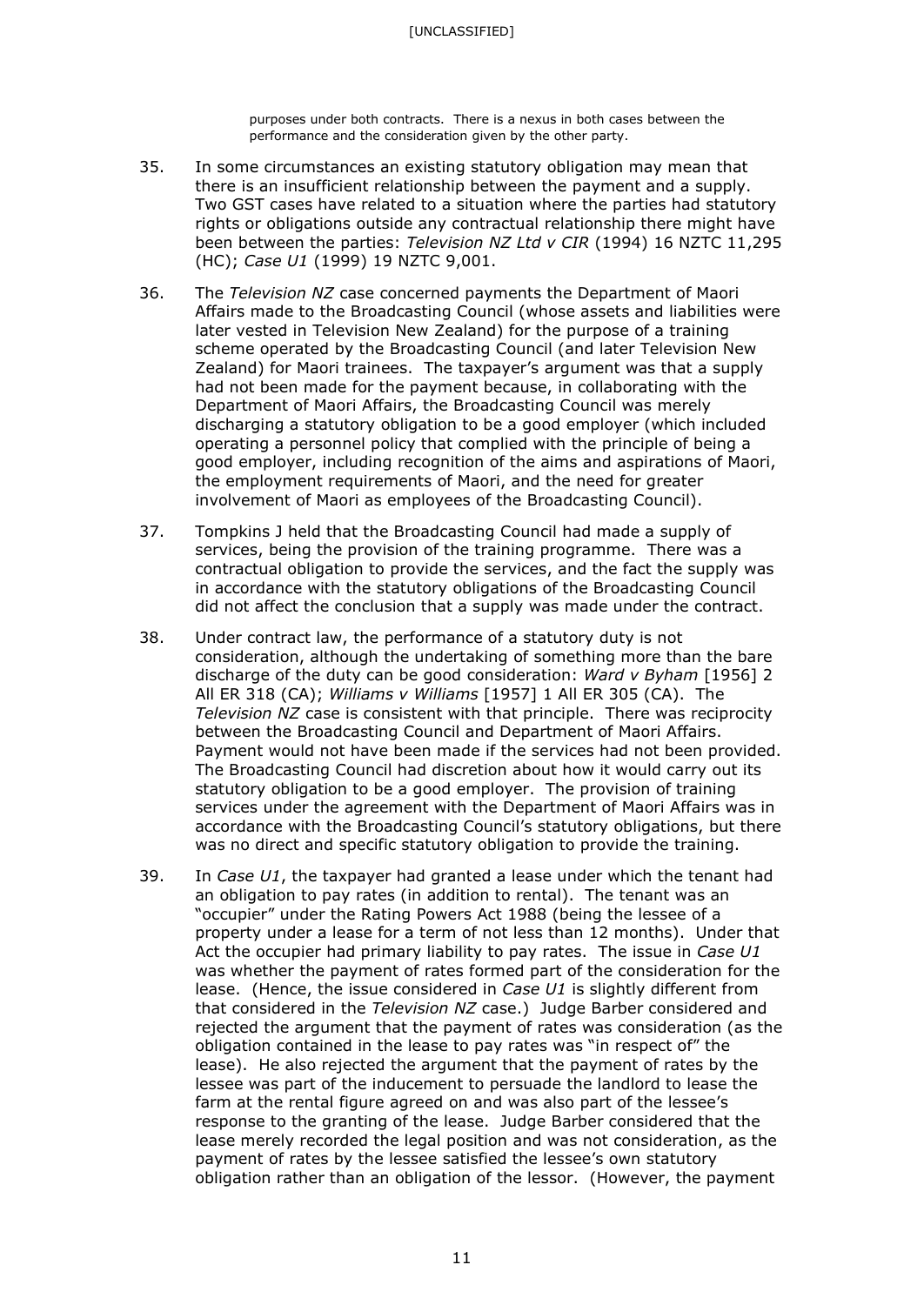purposes under both contracts. There is a nexus in both cases between the performance and the consideration given by the other party.

- 35. In some circumstances an existing statutory obligation may mean that there is an insufficient relationship between the payment and a supply. Two GST cases have related to a situation where the parties had statutory rights or obligations outside any contractual relationship there might have been between the parties: *Television NZ Ltd v CIR* (1994) 16 NZTC 11,295 (HC); *Case U1* (1999) 19 NZTC 9,001.
- 36. The *Television NZ* case concerned payments the Department of Maori Affairs made to the Broadcasting Council (whose assets and liabilities were later vested in Television New Zealand) for the purpose of a training scheme operated by the Broadcasting Council (and later Television New Zealand) for Maori trainees. The taxpayer's argument was that a supply had not been made for the payment because, in collaborating with the Department of Maori Affairs, the Broadcasting Council was merely discharging a statutory obligation to be a good employer (which included operating a personnel policy that complied with the principle of being a good employer, including recognition of the aims and aspirations of Maori, the employment requirements of Maori, and the need for greater involvement of Maori as employees of the Broadcasting Council).
- 37. Tompkins J held that the Broadcasting Council had made a supply of services, being the provision of the training programme. There was a contractual obligation to provide the services, and the fact the supply was in accordance with the statutory obligations of the Broadcasting Council did not affect the conclusion that a supply was made under the contract.
- 38. Under contract law, the performance of a statutory duty is not consideration, although the undertaking of something more than the bare discharge of the duty can be good consideration: *Ward v Byham* [1956] 2 All ER 318 (CA); *Williams v Williams* [1957] 1 All ER 305 (CA). The *Television NZ* case is consistent with that principle. There was reciprocity between the Broadcasting Council and Department of Maori Affairs. Payment would not have been made if the services had not been provided. The Broadcasting Council had discretion about how it would carry out its statutory obligation to be a good employer. The provision of training services under the agreement with the Department of Maori Affairs was in accordance with the Broadcasting Council's statutory obligations, but there was no direct and specific statutory obligation to provide the training.
- 39. In *Case U1*, the taxpayer had granted a lease under which the tenant had an obligation to pay rates (in addition to rental). The tenant was an "occupier" under the Rating Powers Act 1988 (being the lessee of a property under a lease for a term of not less than 12 months). Under that Act the occupier had primary liability to pay rates. The issue in *Case U1*  was whether the payment of rates formed part of the consideration for the lease. (Hence, the issue considered in *Case U1* is slightly different from that considered in the *Television NZ* case.) Judge Barber considered and rejected the argument that the payment of rates was consideration (as the obligation contained in the lease to pay rates was "in respect of" the lease). He also rejected the argument that the payment of rates by the lessee was part of the inducement to persuade the landlord to lease the farm at the rental figure agreed on and was also part of the lessee's response to the granting of the lease. Judge Barber considered that the lease merely recorded the legal position and was not consideration, as the payment of rates by the lessee satisfied the lessee's own statutory obligation rather than an obligation of the lessor. (However, the payment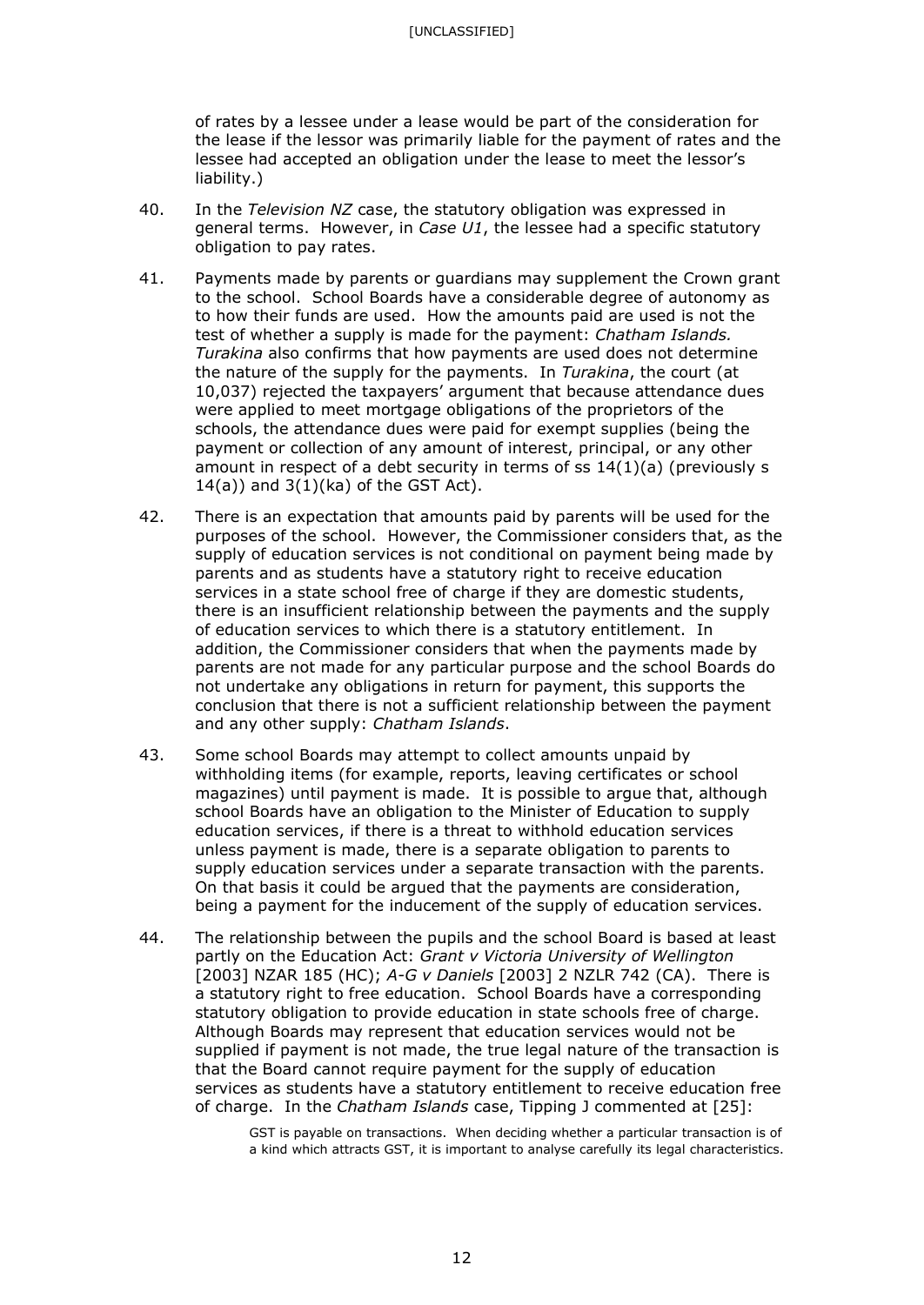of rates by a lessee under a lease would be part of the consideration for the lease if the lessor was primarily liable for the payment of rates and the lessee had accepted an obligation under the lease to meet the lessor's liability.)

- 40. In the *Television NZ* case, the statutory obligation was expressed in general terms. However, in *Case U1*, the lessee had a specific statutory obligation to pay rates.
- 41. Payments made by parents or guardians may supplement the Crown grant to the school. School Boards have a considerable degree of autonomy as to how their funds are used. How the amounts paid are used is not the test of whether a supply is made for the payment: *Chatham Islands. Turakina* also confirms that how payments are used does not determine the nature of the supply for the payments. In *Turakina*, the court (at 10,037) rejected the taxpayers' argument that because attendance dues were applied to meet mortgage obligations of the proprietors of the schools, the attendance dues were paid for exempt supplies (being the payment or collection of any amount of interest, principal, or any other amount in respect of a debt security in terms of ss 14(1)(a) (previously s  $14(a)$ ) and  $3(1)$ (ka) of the GST Act).
- 42. There is an expectation that amounts paid by parents will be used for the purposes of the school. However, the Commissioner considers that, as the supply of education services is not conditional on payment being made by parents and as students have a statutory right to receive education services in a state school free of charge if they are domestic students, there is an insufficient relationship between the payments and the supply of education services to which there is a statutory entitlement. In addition, the Commissioner considers that when the payments made by parents are not made for any particular purpose and the school Boards do not undertake any obligations in return for payment, this supports the conclusion that there is not a sufficient relationship between the payment and any other supply: *Chatham Islands*.
- 43. Some school Boards may attempt to collect amounts unpaid by withholding items (for example, reports, leaving certificates or school magazines) until payment is made. It is possible to argue that, although school Boards have an obligation to the Minister of Education to supply education services, if there is a threat to withhold education services unless payment is made, there is a separate obligation to parents to supply education services under a separate transaction with the parents. On that basis it could be argued that the payments are consideration, being a payment for the inducement of the supply of education services.
- 44. The relationship between the pupils and the school Board is based at least partly on the Education Act: *Grant v Victoria University of Wellington* [2003] NZAR 185 (HC); *A-G v Daniels* [2003] 2 NZLR 742 (CA). There is a statutory right to free education. School Boards have a corresponding statutory obligation to provide education in state schools free of charge. Although Boards may represent that education services would not be supplied if payment is not made, the true legal nature of the transaction is that the Board cannot require payment for the supply of education services as students have a statutory entitlement to receive education free of charge. In the *Chatham Islands* case, Tipping J commented at [25]:

GST is payable on transactions. When deciding whether a particular transaction is of a kind which attracts GST, it is important to analyse carefully its legal characteristics.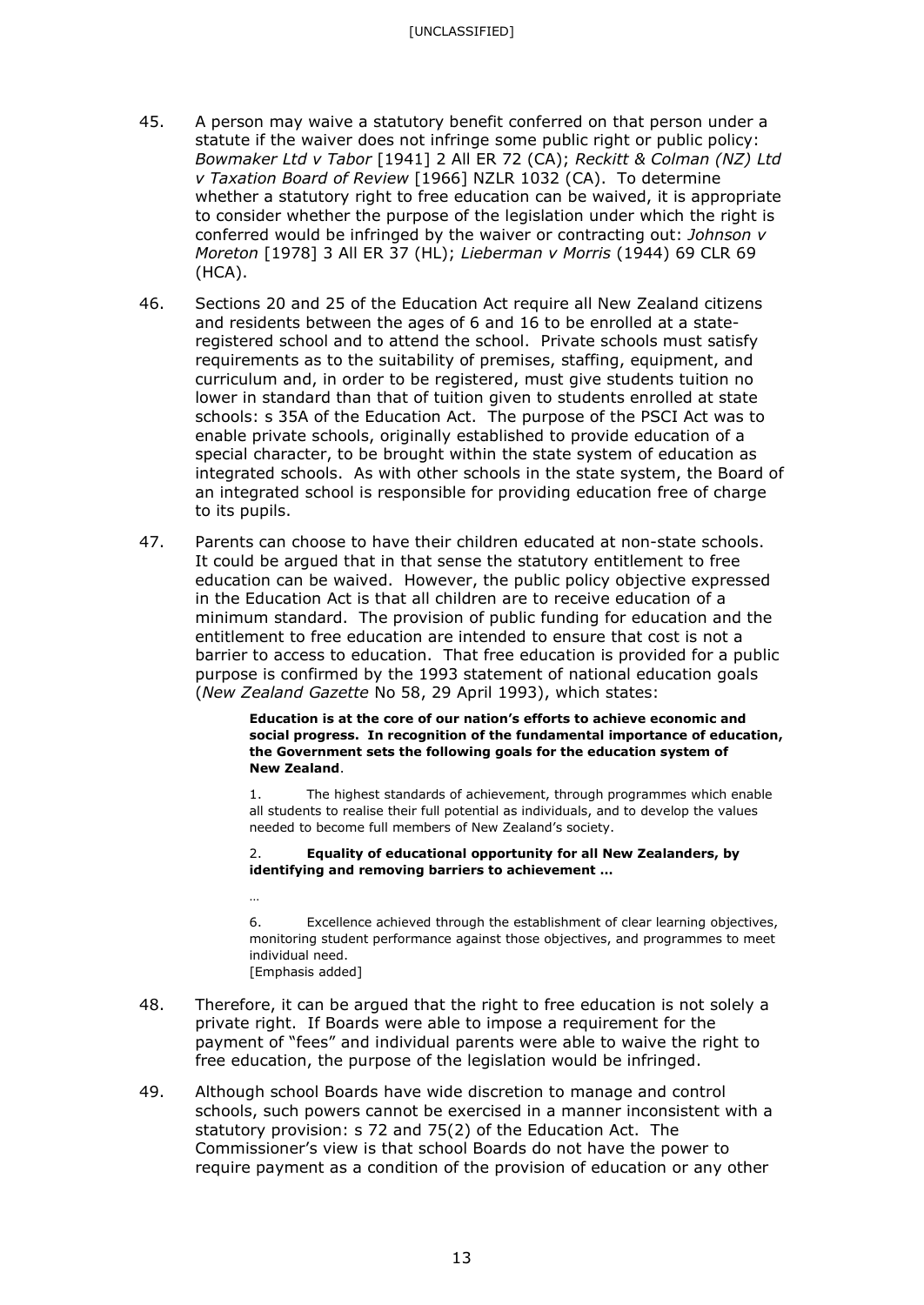- 45. A person may waive a statutory benefit conferred on that person under a statute if the waiver does not infringe some public right or public policy: *Bowmaker Ltd v Tabor* [1941] 2 All ER 72 (CA); *Reckitt & Colman (NZ) Ltd v Taxation Board of Review* [1966] NZLR 1032 (CA). To determine whether a statutory right to free education can be waived, it is appropriate to consider whether the purpose of the legislation under which the right is conferred would be infringed by the waiver or contracting out: *Johnson v Moreton* [1978] 3 All ER 37 (HL); *Lieberman v Morris* (1944) 69 CLR 69 (HCA).
- 46. Sections 20 and 25 of the Education Act require all New Zealand citizens and residents between the ages of 6 and 16 to be enrolled at a stateregistered school and to attend the school. Private schools must satisfy requirements as to the suitability of premises, staffing, equipment, and curriculum and, in order to be registered, must give students tuition no lower in standard than that of tuition given to students enrolled at state schools: s 35A of the Education Act. The purpose of the PSCI Act was to enable private schools, originally established to provide education of a special character, to be brought within the state system of education as integrated schools. As with other schools in the state system, the Board of an integrated school is responsible for providing education free of charge to its pupils.
- 47. Parents can choose to have their children educated at non-state schools. It could be argued that in that sense the statutory entitlement to free education can be waived. However, the public policy objective expressed in the Education Act is that all children are to receive education of a minimum standard. The provision of public funding for education and the entitlement to free education are intended to ensure that cost is not a barrier to access to education. That free education is provided for a public purpose is confirmed by the 1993 statement of national education goals (*New Zealand Gazette* No 58, 29 April 1993), which states:

**Education is at the core of our nation's efforts to achieve economic and social progress. In recognition of the fundamental importance of education, the Government sets the following goals for the education system of New Zealand**.

1. The highest standards of achievement, through programmes which enable all students to realise their full potential as individuals, and to develop the values needed to become full members of New Zealand's society.

#### 2. **Equality of educational opportunity for all New Zealanders, by identifying and removing barriers to achievement …**

…

6. Excellence achieved through the establishment of clear learning objectives, monitoring student performance against those objectives, and programmes to meet individual need. [Emphasis added]

- 48. Therefore, it can be argued that the right to free education is not solely a private right. If Boards were able to impose a requirement for the payment of "fees" and individual parents were able to waive the right to free education, the purpose of the legislation would be infringed.
- 49. Although school Boards have wide discretion to manage and control schools, such powers cannot be exercised in a manner inconsistent with a statutory provision: s 72 and 75(2) of the Education Act. The Commissioner's view is that school Boards do not have the power to require payment as a condition of the provision of education or any other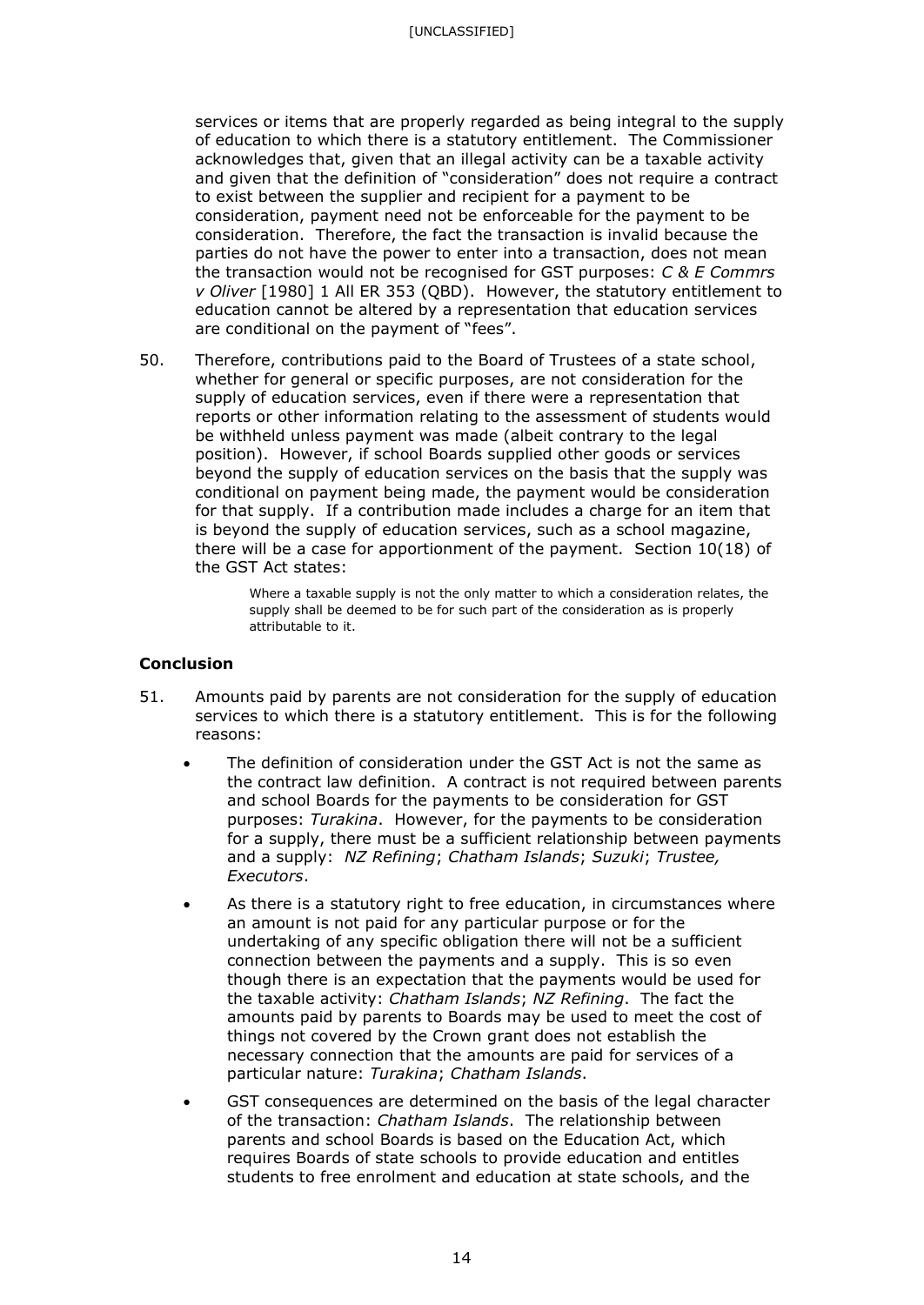[UNCLASSIFIED]

services or items that are properly regarded as being integral to the supply of education to which there is a statutory entitlement. The Commissioner acknowledges that, given that an illegal activity can be a taxable activity and given that the definition of "consideration" does not require a contract to exist between the supplier and recipient for a payment to be consideration, payment need not be enforceable for the payment to be consideration. Therefore, the fact the transaction is invalid because the parties do not have the power to enter into a transaction, does not mean the transaction would not be recognised for GST purposes: *C & E Commrs v Oliver* [1980] 1 All ER 353 (QBD). However, the statutory entitlement to education cannot be altered by a representation that education services are conditional on the payment of "fees".

50. Therefore, contributions paid to the Board of Trustees of a state school, whether for general or specific purposes, are not consideration for the supply of education services, even if there were a representation that reports or other information relating to the assessment of students would be withheld unless payment was made (albeit contrary to the legal position). However, if school Boards supplied other goods or services beyond the supply of education services on the basis that the supply was conditional on payment being made, the payment would be consideration for that supply. If a contribution made includes a charge for an item that is beyond the supply of education services, such as a school magazine, there will be a case for apportionment of the payment. Section 10(18) of the GST Act states:

> Where a taxable supply is not the only matter to which a consideration relates, the supply shall be deemed to be for such part of the consideration as is properly attributable to it.

### **Conclusion**

- 51. Amounts paid by parents are not consideration for the supply of education services to which there is a statutory entitlement. This is for the following reasons:
	- The definition of consideration under the GST Act is not the same as the contract law definition. A contract is not required between parents and school Boards for the payments to be consideration for GST purposes: *Turakina*. However, for the payments to be consideration for a supply, there must be a sufficient relationship between payments and a supply: *NZ Refining*; *Chatham Islands*; *Suzuki*; *Trustee, Executors*.
	- As there is a statutory right to free education, in circumstances where an amount is not paid for any particular purpose or for the undertaking of any specific obligation there will not be a sufficient connection between the payments and a supply. This is so even though there is an expectation that the payments would be used for the taxable activity: *Chatham Islands*; *NZ Refining*. The fact the amounts paid by parents to Boards may be used to meet the cost of things not covered by the Crown grant does not establish the necessary connection that the amounts are paid for services of a particular nature: *Turakina*; *Chatham Islands*.
	- GST consequences are determined on the basis of the legal character of the transaction: *Chatham Islands*. The relationship between parents and school Boards is based on the Education Act, which requires Boards of state schools to provide education and entitles students to free enrolment and education at state schools, and the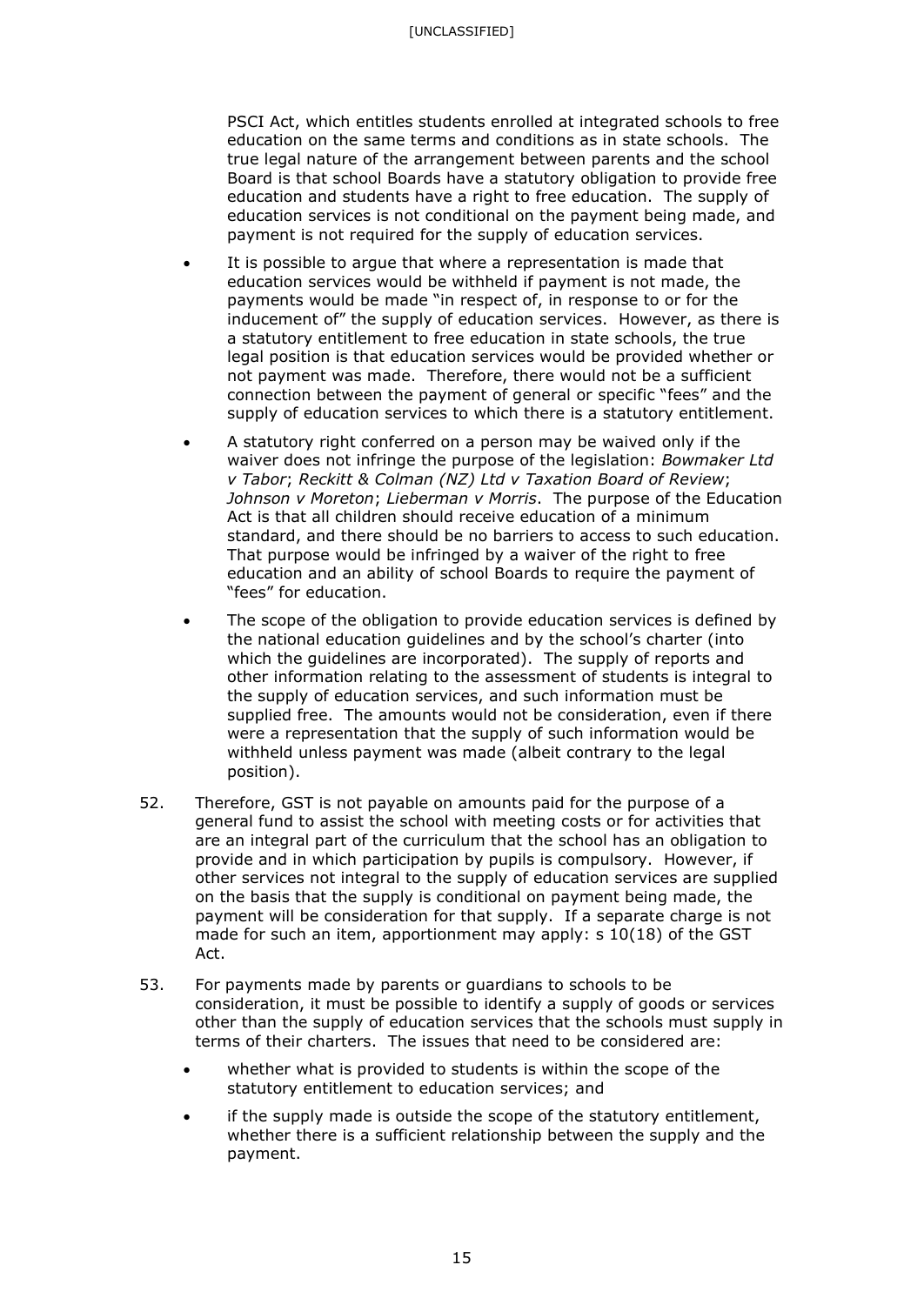PSCI Act, which entitles students enrolled at integrated schools to free education on the same terms and conditions as in state schools. The true legal nature of the arrangement between parents and the school Board is that school Boards have a statutory obligation to provide free education and students have a right to free education. The supply of education services is not conditional on the payment being made, and payment is not required for the supply of education services.

- It is possible to argue that where a representation is made that education services would be withheld if payment is not made, the payments would be made "in respect of, in response to or for the inducement of" the supply of education services. However, as there is a statutory entitlement to free education in state schools, the true legal position is that education services would be provided whether or not payment was made. Therefore, there would not be a sufficient connection between the payment of general or specific "fees" and the supply of education services to which there is a statutory entitlement.
- A statutory right conferred on a person may be waived only if the waiver does not infringe the purpose of the legislation: *Bowmaker Ltd v Tabor*; *Reckitt & Colman (NZ) Ltd v Taxation Board of Review*; *Johnson v Moreton*; *Lieberman v Morris*. The purpose of the Education Act is that all children should receive education of a minimum standard, and there should be no barriers to access to such education. That purpose would be infringed by a waiver of the right to free education and an ability of school Boards to require the payment of "fees" for education.
- The scope of the obligation to provide education services is defined by the national education guidelines and by the school's charter (into which the guidelines are incorporated). The supply of reports and other information relating to the assessment of students is integral to the supply of education services, and such information must be supplied free. The amounts would not be consideration, even if there were a representation that the supply of such information would be withheld unless payment was made (albeit contrary to the legal position).
- 52. Therefore, GST is not payable on amounts paid for the purpose of a general fund to assist the school with meeting costs or for activities that are an integral part of the curriculum that the school has an obligation to provide and in which participation by pupils is compulsory. However, if other services not integral to the supply of education services are supplied on the basis that the supply is conditional on payment being made, the payment will be consideration for that supply. If a separate charge is not made for such an item, apportionment may apply: s 10(18) of the GST Act.
- 53. For payments made by parents or guardians to schools to be consideration, it must be possible to identify a supply of goods or services other than the supply of education services that the schools must supply in terms of their charters. The issues that need to be considered are:
	- whether what is provided to students is within the scope of the statutory entitlement to education services; and
	- if the supply made is outside the scope of the statutory entitlement, whether there is a sufficient relationship between the supply and the payment.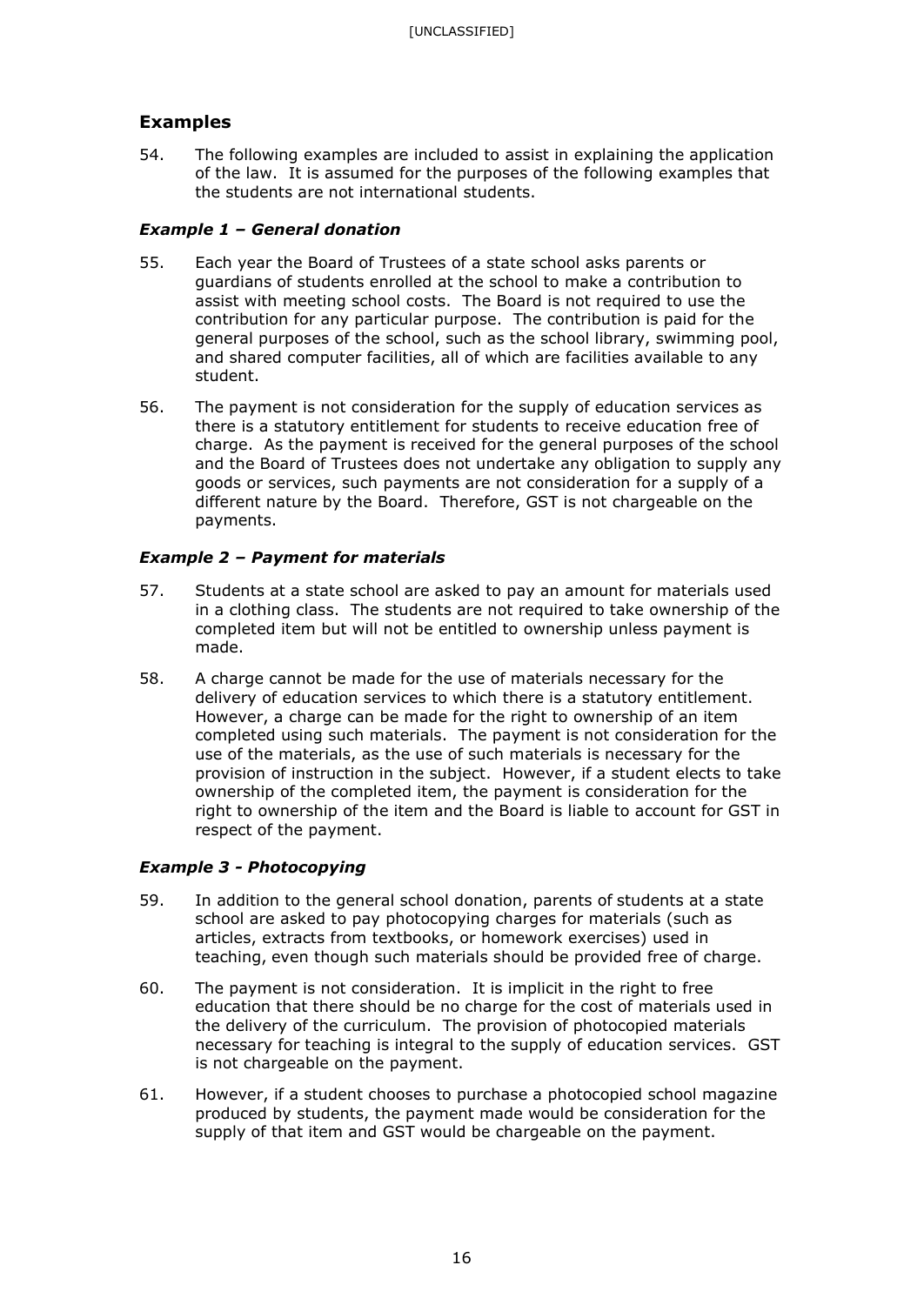# **Examples**

54. The following examples are included to assist in explaining the application of the law. It is assumed for the purposes of the following examples that the students are not international students.

# *Example 1 – General donation*

- 55. Each year the Board of Trustees of a state school asks parents or guardians of students enrolled at the school to make a contribution to assist with meeting school costs. The Board is not required to use the contribution for any particular purpose. The contribution is paid for the general purposes of the school, such as the school library, swimming pool, and shared computer facilities, all of which are facilities available to any student.
- 56. The payment is not consideration for the supply of education services as there is a statutory entitlement for students to receive education free of charge. As the payment is received for the general purposes of the school and the Board of Trustees does not undertake any obligation to supply any goods or services, such payments are not consideration for a supply of a different nature by the Board. Therefore, GST is not chargeable on the payments.

# *Example 2 – Payment for materials*

- 57. Students at a state school are asked to pay an amount for materials used in a clothing class. The students are not required to take ownership of the completed item but will not be entitled to ownership unless payment is made.
- 58. A charge cannot be made for the use of materials necessary for the delivery of education services to which there is a statutory entitlement. However, a charge can be made for the right to ownership of an item completed using such materials. The payment is not consideration for the use of the materials, as the use of such materials is necessary for the provision of instruction in the subject. However, if a student elects to take ownership of the completed item, the payment is consideration for the right to ownership of the item and the Board is liable to account for GST in respect of the payment.

# *Example 3 - Photocopying*

- 59. In addition to the general school donation, parents of students at a state school are asked to pay photocopying charges for materials (such as articles, extracts from textbooks, or homework exercises) used in teaching, even though such materials should be provided free of charge.
- 60. The payment is not consideration. It is implicit in the right to free education that there should be no charge for the cost of materials used in the delivery of the curriculum. The provision of photocopied materials necessary for teaching is integral to the supply of education services. GST is not chargeable on the payment.
- 61. However, if a student chooses to purchase a photocopied school magazine produced by students, the payment made would be consideration for the supply of that item and GST would be chargeable on the payment.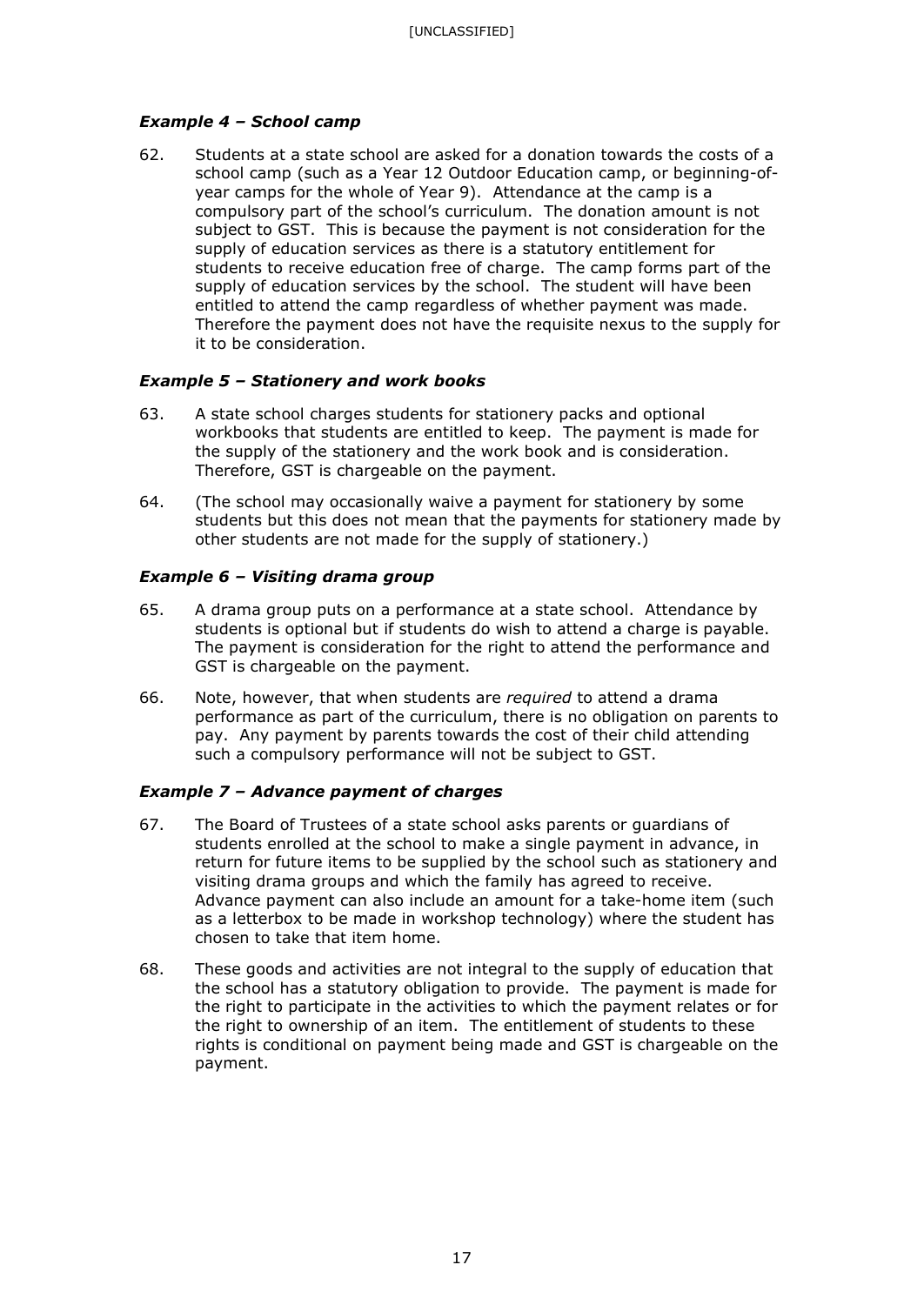## *Example 4 – School camp*

62. Students at a state school are asked for a donation towards the costs of a school camp (such as a Year 12 Outdoor Education camp, or beginning-ofyear camps for the whole of Year 9). Attendance at the camp is a compulsory part of the school's curriculum. The donation amount is not subject to GST. This is because the payment is not consideration for the supply of education services as there is a statutory entitlement for students to receive education free of charge. The camp forms part of the supply of education services by the school. The student will have been entitled to attend the camp regardless of whether payment was made. Therefore the payment does not have the requisite nexus to the supply for it to be consideration.

## *Example 5 – Stationery and work books*

- 63. A state school charges students for stationery packs and optional workbooks that students are entitled to keep. The payment is made for the supply of the stationery and the work book and is consideration. Therefore, GST is chargeable on the payment.
- 64. (The school may occasionally waive a payment for stationery by some students but this does not mean that the payments for stationery made by other students are not made for the supply of stationery.)

## *Example 6 – Visiting drama group*

- 65. A drama group puts on a performance at a state school. Attendance by students is optional but if students do wish to attend a charge is payable. The payment is consideration for the right to attend the performance and GST is chargeable on the payment.
- 66. Note, however, that when students are *required* to attend a drama performance as part of the curriculum, there is no obligation on parents to pay. Any payment by parents towards the cost of their child attending such a compulsory performance will not be subject to GST.

## *Example 7 – Advance payment of charges*

- 67. The Board of Trustees of a state school asks parents or guardians of students enrolled at the school to make a single payment in advance, in return for future items to be supplied by the school such as stationery and visiting drama groups and which the family has agreed to receive. Advance payment can also include an amount for a take-home item (such as a letterbox to be made in workshop technology) where the student has chosen to take that item home.
- 68. These goods and activities are not integral to the supply of education that the school has a statutory obligation to provide. The payment is made for the right to participate in the activities to which the payment relates or for the right to ownership of an item. The entitlement of students to these rights is conditional on payment being made and GST is chargeable on the payment.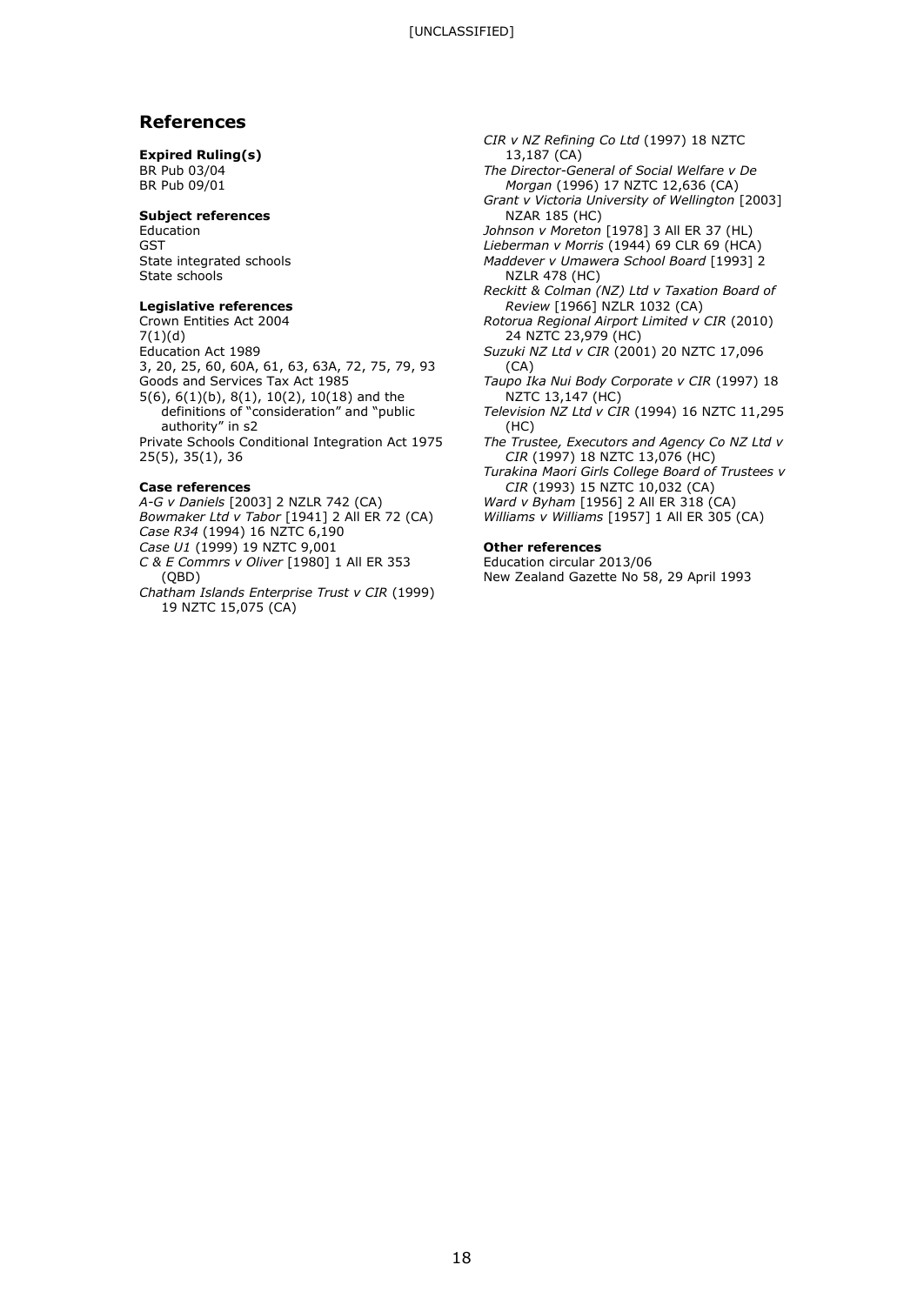### **References**

#### **Expired Ruling(s)**

BR Pub 03/04 BR Pub 09/01

#### **Subject references**

Education GST State integrated schools State schools

#### **Legislative references**

Crown Entities Act 2004 7(1)(d) Education Act 1989 3, 20, 25, 60, 60A, 61, 63, 63A, 72, 75, 79, 93 Goods and Services Tax Act 1985 5(6), 6(1)(b), 8(1), 10(2), 10(18) and the definitions of "consideration" and "public authority" in s2 Private Schools Conditional Integration Act 1975 25(5), 35(1), 36

#### **Case references**

- *A-G v Daniels* [2003] 2 NZLR 742 (CA) *Bowmaker Ltd v Tabor* [1941] 2 All ER 72 (CA) *Case R34* (1994) 16 NZTC 6,190
- *Case U1* (1999) 19 NZTC 9,001 *C & E Commrs v Oliver* [1980] 1 All ER 353 (QBD)
- *Chatham Islands Enterprise Trust v CIR* (1999) 19 NZTC 15,075 (CA)
- *CIR v NZ Refining Co Ltd* (1997) 18 NZTC 13,187 (CA) *The Director-General of Social Welfare v De Morgan* (1996) 17 NZTC 12,636 (CA) *Grant v Victoria University of Wellington* [2003]
- NZAR 185 (HC) *Johnson v Moreton* [1978] 3 All ER 37 (HL)
- *Lieberman v Morris* (1944) 69 CLR 69 (HCA)
- *Maddever v Umawera School Board* [1993] 2 NZLR 478 (HC)
- *Reckitt & Colman (NZ) Ltd v Taxation Board of Review* [1966] NZLR 1032 (CA)
- *Rotorua Regional Airport Limited v CIR* (2010) 24 NZTC 23,979 (HC)
- *Suzuki NZ Ltd v CIR* (2001) 20 NZTC 17,096 (CA)
- *Taupo Ika Nui Body Corporate v CIR* (1997) 18 NZTC 13,147 (HC)
- *Television NZ Ltd v CIR* (1994) 16 NZTC 11,295 (HC)
- *The Trustee, Executors and Agency Co NZ Ltd v CIR* (1997) 18 NZTC 13,076 (HC)
- *Turakina Maori Girls College Board of Trustees v CIR* (1993) 15 NZTC 10,032 (CA)
- *Ward v Byham* [1956] 2 All ER 318 (CA)
- *Williams v Williams* [1957] 1 All ER 305 (CA)

#### **Other references**

Education circular 2013/06 New Zealand Gazette No 58, 29 April 1993